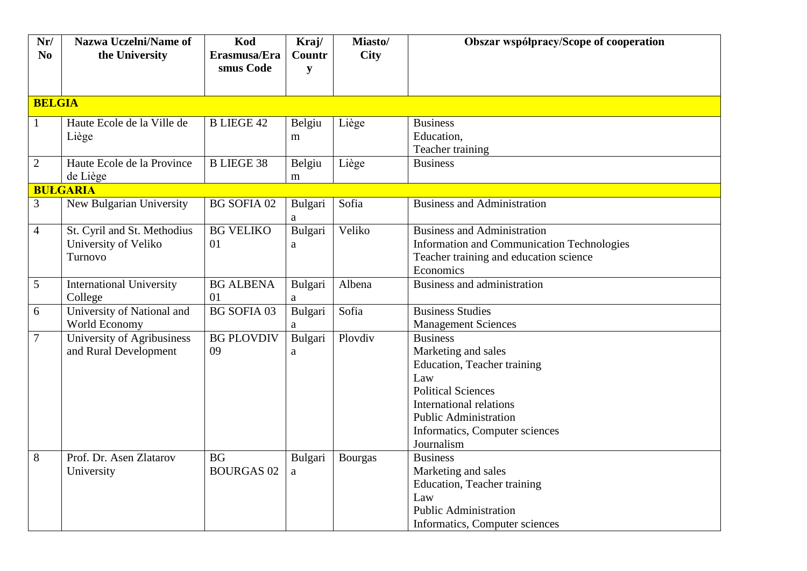| Nr/            | <b>Nazwa Uczelni/Name of</b>    | Kod                | Kraj/   | Miasto/        | Obszar współpracy/Scope of cooperation     |
|----------------|---------------------------------|--------------------|---------|----------------|--------------------------------------------|
| N <sub>0</sub> | the University                  | Erasmusa/Era       | Countr  | <b>City</b>    |                                            |
|                |                                 | smus Code          | y       |                |                                            |
|                |                                 |                    |         |                |                                            |
| <b>BELGIA</b>  |                                 |                    |         |                |                                            |
| $\mathbf{1}$   | Haute Ecole de la Ville de      | <b>B LIEGE 42</b>  | Belgiu  | Liège          | <b>Business</b>                            |
|                | Liège                           |                    | m       |                | Education,                                 |
|                |                                 |                    |         |                | Teacher training                           |
| $\overline{2}$ | Haute Ecole de la Province      | <b>B LIEGE 38</b>  | Belgiu  | Liège          | <b>Business</b>                            |
|                | de Liège                        |                    | m       |                |                                            |
|                | <b>BULGARIA</b>                 |                    |         |                |                                            |
| $\overline{3}$ | New Bulgarian University        | <b>BG SOFIA 02</b> | Bulgari | Sofia          | <b>Business and Administration</b>         |
|                |                                 |                    | a       |                |                                            |
| $\overline{4}$ | St. Cyril and St. Methodius     | <b>BG VELIKO</b>   | Bulgari | Veliko         | <b>Business and Administration</b>         |
|                | University of Veliko            | 01                 | a       |                | Information and Communication Technologies |
|                | Turnovo                         |                    |         |                | Teacher training and education science     |
|                |                                 |                    |         |                | Economics                                  |
| 5              | <b>International University</b> | <b>BG ALBENA</b>   | Bulgari | Albena         | <b>Business and administration</b>         |
|                | College                         | 01                 | a       |                |                                            |
| 6              | University of National and      | <b>BG SOFIA 03</b> | Bulgari | Sofia          | <b>Business Studies</b>                    |
|                | World Economy                   |                    | a       |                | <b>Management Sciences</b>                 |
| 7              | University of Agribusiness      | <b>BG PLOVDIV</b>  | Bulgari | Plovdiv        | <b>Business</b>                            |
|                | and Rural Development           | 09                 | a       |                | Marketing and sales                        |
|                |                                 |                    |         |                | Education, Teacher training                |
|                |                                 |                    |         |                | Law                                        |
|                |                                 |                    |         |                | <b>Political Sciences</b>                  |
|                |                                 |                    |         |                | International relations                    |
|                |                                 |                    |         |                | <b>Public Administration</b>               |
|                |                                 |                    |         |                | Informatics, Computer sciences             |
|                |                                 |                    |         |                | Journalism                                 |
| 8              | Prof. Dr. Asen Zlatarov         | <b>BG</b>          | Bulgari | <b>Bourgas</b> | <b>Business</b>                            |
|                | University                      | <b>BOURGAS 02</b>  | a       |                | Marketing and sales                        |
|                |                                 |                    |         |                | Education, Teacher training                |
|                |                                 |                    |         |                | Law                                        |
|                |                                 |                    |         |                | <b>Public Administration</b>               |
|                |                                 |                    |         |                | Informatics, Computer sciences             |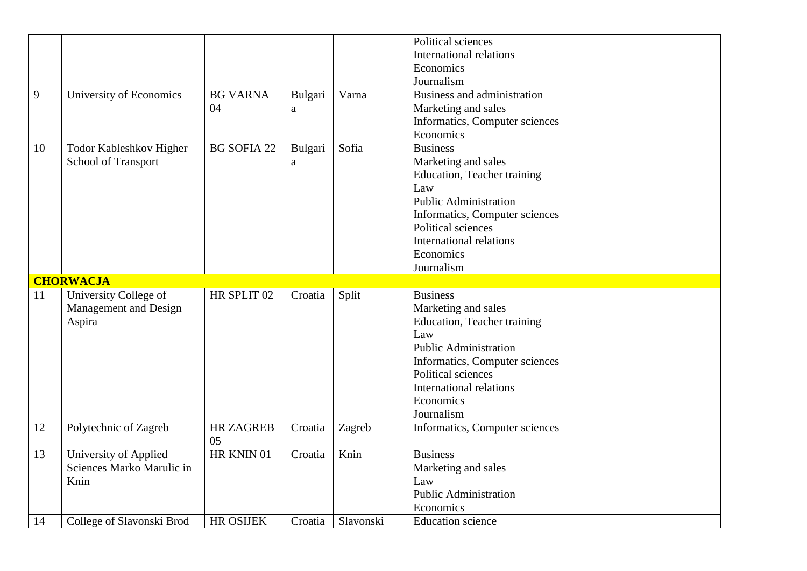|    |                           |                    |         |           | Political sciences             |
|----|---------------------------|--------------------|---------|-----------|--------------------------------|
|    |                           |                    |         |           | <b>International relations</b> |
|    |                           |                    |         |           | Economics                      |
|    |                           |                    |         |           | Journalism                     |
|    |                           |                    |         |           |                                |
| 9  | University of Economics   | <b>BG VARNA</b>    | Bulgari | Varna     | Business and administration    |
|    |                           | 04                 | a       |           | Marketing and sales            |
|    |                           |                    |         |           | Informatics, Computer sciences |
|    |                           |                    |         |           | Economics                      |
| 10 | Todor Kableshkov Higher   | <b>BG SOFIA 22</b> | Bulgari | Sofia     | <b>Business</b>                |
|    | School of Transport       |                    | a       |           | Marketing and sales            |
|    |                           |                    |         |           | Education, Teacher training    |
|    |                           |                    |         |           | Law                            |
|    |                           |                    |         |           | <b>Public Administration</b>   |
|    |                           |                    |         |           | Informatics, Computer sciences |
|    |                           |                    |         |           | Political sciences             |
|    |                           |                    |         |           | <b>International relations</b> |
|    |                           |                    |         |           | Economics                      |
|    |                           |                    |         |           | Journalism                     |
|    | <b>CHORWACJA</b>          |                    |         |           |                                |
| 11 | University College of     | HR SPLIT 02        | Croatia | Split     | <b>Business</b>                |
|    | Management and Design     |                    |         |           |                                |
|    |                           |                    |         |           | Marketing and sales            |
|    | Aspira                    |                    |         |           | Education, Teacher training    |
|    |                           |                    |         |           | Law                            |
|    |                           |                    |         |           | <b>Public Administration</b>   |
|    |                           |                    |         |           | Informatics, Computer sciences |
|    |                           |                    |         |           | Political sciences             |
|    |                           |                    |         |           | <b>International relations</b> |
|    |                           |                    |         |           | Economics                      |
|    |                           |                    |         |           | Journalism                     |
| 12 | Polytechnic of Zagreb     | <b>HR ZAGREB</b>   | Croatia | Zagreb    | Informatics, Computer sciences |
|    |                           | 05                 |         |           |                                |
| 13 | University of Applied     | HR KNIN 01         | Croatia | Knin      | <b>Business</b>                |
|    | Sciences Marko Marulic in |                    |         |           | Marketing and sales            |
|    | Knin                      |                    |         |           | Law                            |
|    |                           |                    |         |           | <b>Public Administration</b>   |
|    |                           |                    |         |           | Economics                      |
| 14 | College of Slavonski Brod | <b>HR OSIJEK</b>   | Croatia | Slavonski | <b>Education</b> science       |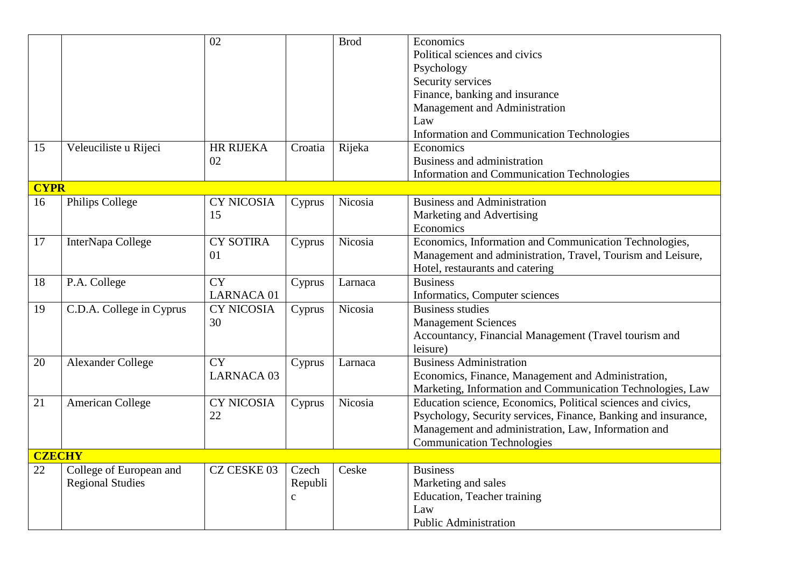|               |                                                    | 02                             |                                  | <b>Brod</b> | Economics<br>Political sciences and civics<br>Psychology<br>Security services<br>Finance, banking and insurance<br>Management and Administration<br>Law                                                                    |
|---------------|----------------------------------------------------|--------------------------------|----------------------------------|-------------|----------------------------------------------------------------------------------------------------------------------------------------------------------------------------------------------------------------------------|
| 15            | Veleuciliste u Rijeci                              | <b>HR RIJEKA</b>               | Croatia                          | Rijeka      | <b>Information and Communication Technologies</b><br>Economics                                                                                                                                                             |
|               |                                                    | 02                             |                                  |             | Business and administration<br><b>Information and Communication Technologies</b>                                                                                                                                           |
| <b>CYPR</b>   |                                                    |                                |                                  |             |                                                                                                                                                                                                                            |
| 16            | Philips College                                    | <b>CY NICOSIA</b><br>15        | Cyprus                           | Nicosia     | <b>Business and Administration</b><br>Marketing and Advertising<br>Economics                                                                                                                                               |
| 17            | InterNapa College                                  | <b>CY SOTIRA</b><br>01         | Cyprus                           | Nicosia     | Economics, Information and Communication Technologies,<br>Management and administration, Travel, Tourism and Leisure,<br>Hotel, restaurants and catering                                                                   |
| 18            | P.A. College                                       | <b>CY</b><br><b>LARNACA 01</b> | Cyprus                           | Larnaca     | <b>Business</b><br>Informatics, Computer sciences                                                                                                                                                                          |
| 19            | C.D.A. College in Cyprus                           | <b>CY NICOSIA</b><br>30        | Cyprus                           | Nicosia     | <b>Business studies</b><br><b>Management Sciences</b><br>Accountancy, Financial Management (Travel tourism and<br>leisure)                                                                                                 |
| 20            | <b>Alexander College</b>                           | <b>CY</b><br><b>LARNACA 03</b> | Cyprus                           | Larnaca     | <b>Business Administration</b><br>Economics, Finance, Management and Administration,<br>Marketing, Information and Communication Technologies, Law                                                                         |
| 21            | <b>American College</b>                            | <b>CY NICOSIA</b><br>22        | Cyprus                           | Nicosia     | Education science, Economics, Political sciences and civics,<br>Psychology, Security services, Finance, Banking and insurance,<br>Management and administration, Law, Information and<br><b>Communication Technologies</b> |
| <b>CZECHY</b> |                                                    |                                |                                  |             |                                                                                                                                                                                                                            |
| 22            | College of European and<br><b>Regional Studies</b> | CZ CESKE 03                    | Czech<br>Republi<br>$\mathbf{C}$ | Ceske       | <b>Business</b><br>Marketing and sales<br>Education, Teacher training<br>Law<br><b>Public Administration</b>                                                                                                               |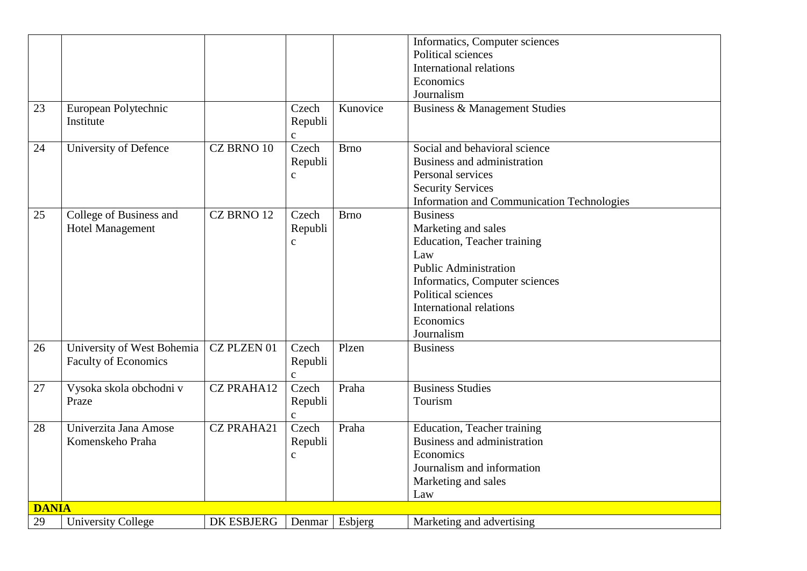|              |                             |                   |              |             | Informatics, Computer sciences                    |
|--------------|-----------------------------|-------------------|--------------|-------------|---------------------------------------------------|
|              |                             |                   |              |             | Political sciences                                |
|              |                             |                   |              |             | <b>International relations</b>                    |
|              |                             |                   |              |             | Economics                                         |
|              |                             |                   |              |             | Journalism                                        |
| 23           | European Polytechnic        |                   | Czech        | Kunovice    | <b>Business &amp; Management Studies</b>          |
|              | Institute                   |                   | Republi      |             |                                                   |
|              |                             |                   | $\mathbf{C}$ |             |                                                   |
| 24           | University of Defence       | CZ BRNO 10        | Czech        | <b>Brno</b> | Social and behavioral science                     |
|              |                             |                   | Republi      |             | Business and administration                       |
|              |                             |                   | $\mathbf{C}$ |             | Personal services                                 |
|              |                             |                   |              |             | <b>Security Services</b>                          |
|              |                             |                   |              |             | <b>Information and Communication Technologies</b> |
| 25           | College of Business and     | CZ BRNO 12        | Czech        | <b>Brno</b> | <b>Business</b>                                   |
|              | <b>Hotel Management</b>     |                   | Republi      |             | Marketing and sales                               |
|              |                             |                   | $\mathbf{C}$ |             | Education, Teacher training                       |
|              |                             |                   |              |             | Law                                               |
|              |                             |                   |              |             | <b>Public Administration</b>                      |
|              |                             |                   |              |             | Informatics, Computer sciences                    |
|              |                             |                   |              |             | Political sciences                                |
|              |                             |                   |              |             | International relations                           |
|              |                             |                   |              |             | Economics                                         |
|              |                             |                   |              |             | Journalism                                        |
| 26           | University of West Bohemia  | CZ PLZEN 01       | Czech        | Plzen       | <b>Business</b>                                   |
|              | <b>Faculty of Economics</b> |                   | Republi      |             |                                                   |
|              |                             |                   | $\mathbf{C}$ |             |                                                   |
| 27           | Vysoka skola obchodni v     | <b>CZ PRAHA12</b> | Czech        | Praha       | <b>Business Studies</b>                           |
|              | Praze                       |                   | Republi      |             | Tourism                                           |
|              |                             |                   | $\mathbf{C}$ |             |                                                   |
| 28           | Univerzita Jana Amose       | <b>CZ PRAHA21</b> | Czech        | Praha       | Education, Teacher training                       |
|              | Komenskeho Praha            |                   | Republi      |             | Business and administration                       |
|              |                             |                   | $\mathbf{C}$ |             | Economics                                         |
|              |                             |                   |              |             | Journalism and information                        |
|              |                             |                   |              |             | Marketing and sales                               |
|              |                             |                   |              |             | Law                                               |
| <b>DANIA</b> |                             |                   |              |             |                                                   |
| 29           | <b>University College</b>   | <b>DK ESBJERG</b> | Denmar       | Esbjerg     | Marketing and advertising                         |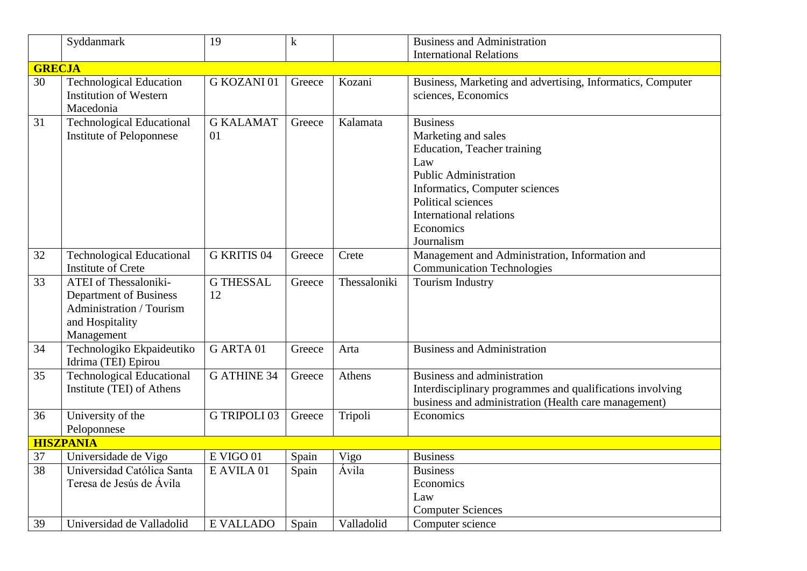|               | Syddanmark                                                                                                          | 19                     | $\mathbf k$ |              | <b>Business and Administration</b>                                                                                                                                                                                                |
|---------------|---------------------------------------------------------------------------------------------------------------------|------------------------|-------------|--------------|-----------------------------------------------------------------------------------------------------------------------------------------------------------------------------------------------------------------------------------|
|               |                                                                                                                     |                        |             |              | <b>International Relations</b>                                                                                                                                                                                                    |
| <b>GRECJA</b> |                                                                                                                     |                        |             |              |                                                                                                                                                                                                                                   |
| 30            | <b>Technological Education</b><br><b>Institution of Western</b><br>Macedonia                                        | G KOZANI01             | Greece      | Kozani       | Business, Marketing and advertising, Informatics, Computer<br>sciences, Economics                                                                                                                                                 |
| 31            | <b>Technological Educational</b><br>Institute of Peloponnese                                                        | <b>G KALAMAT</b><br>01 | Greece      | Kalamata     | <b>Business</b><br>Marketing and sales<br>Education, Teacher training<br>Law<br><b>Public Administration</b><br>Informatics, Computer sciences<br>Political sciences<br><b>International relations</b><br>Economics<br>Journalism |
| 32            | <b>Technological Educational</b><br><b>Institute of Crete</b>                                                       | <b>G KRITIS 04</b>     | Greece      | Crete        | Management and Administration, Information and<br><b>Communication Technologies</b>                                                                                                                                               |
| 33            | <b>ATEI</b> of Thessaloniki-<br>Department of Business<br>Administration / Tourism<br>and Hospitality<br>Management | <b>G THESSAL</b><br>12 | Greece      | Thessaloniki | <b>Tourism Industry</b>                                                                                                                                                                                                           |
| 34            | Technologiko Ekpaideutiko<br>Idrima (TEI) Epirou                                                                    | G ARTA 01              | Greece      | Arta         | <b>Business and Administration</b>                                                                                                                                                                                                |
| 35            | <b>Technological Educational</b><br>Institute (TEI) of Athens                                                       | <b>G ATHINE 34</b>     | Greece      | Athens       | Business and administration<br>Interdisciplinary programmes and qualifications involving<br>business and administration (Health care management)                                                                                  |
| 36            | University of the<br>Peloponnese                                                                                    | <b>G TRIPOLI 03</b>    | Greece      | Tripoli      | Economics                                                                                                                                                                                                                         |
|               | <b>HISZPANIA</b>                                                                                                    |                        |             |              |                                                                                                                                                                                                                                   |
| 37            | Universidade de Vigo                                                                                                | E VIGO 01              | Spain       | Vigo         | <b>Business</b>                                                                                                                                                                                                                   |
| 38            | Universidad Católica Santa<br>Teresa de Jesús de Ávila                                                              | E AVILA 01             | Spain       | Ávila        | <b>Business</b><br>Economics<br>Law<br><b>Computer Sciences</b>                                                                                                                                                                   |
| 39            | Universidad de Valladolid                                                                                           | <b>E VALLADO</b>       | Spain       | Valladolid   | Computer science                                                                                                                                                                                                                  |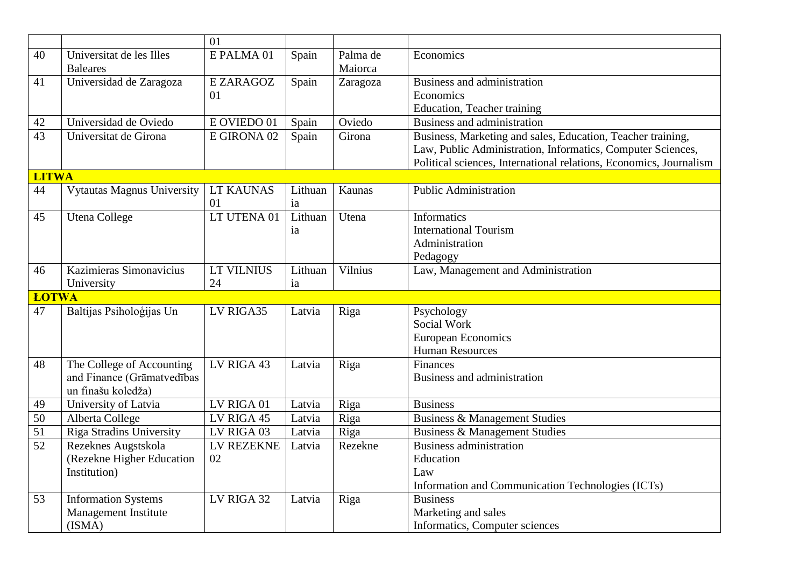|                    |                                   | 01               |         |          |                                                                    |
|--------------------|-----------------------------------|------------------|---------|----------|--------------------------------------------------------------------|
| 40                 | Universitat de les Illes          | E PALMA 01       | Spain   | Palma de | Economics                                                          |
|                    | <b>Baleares</b>                   |                  |         | Maiorca  |                                                                    |
| 41                 | Universidad de Zaragoza           | E ZARAGOZ        | Spain   | Zaragoza | Business and administration                                        |
|                    |                                   | 01               |         |          | Economics                                                          |
|                    |                                   |                  |         |          | Education, Teacher training                                        |
| 42                 | Universidad de Oviedo             | E OVIEDO 01      | Spain   | Oviedo   | Business and administration                                        |
| $\overline{43}$    | Universitat de Girona             | E GIRONA 02      | Spain   | Girona   | Business, Marketing and sales, Education, Teacher training,        |
|                    |                                   |                  |         |          | Law, Public Administration, Informatics, Computer Sciences,        |
|                    |                                   |                  |         |          | Political sciences, International relations, Economics, Journalism |
| <b>LITWA</b>       |                                   |                  |         |          |                                                                    |
| 44                 | <b>Vytautas Magnus University</b> | <b>LT KAUNAS</b> | Lithuan | Kaunas   | <b>Public Administration</b>                                       |
|                    |                                   | 01               | ia      |          |                                                                    |
| 45                 | <b>Utena College</b>              | LT UTENA 01      | Lithuan | Utena    | <b>Informatics</b>                                                 |
|                    |                                   |                  | ia      |          | <b>International Tourism</b>                                       |
|                    |                                   |                  |         |          | Administration                                                     |
|                    |                                   |                  |         |          | Pedagogy                                                           |
| 46                 | Kazimieras Simonavicius           | LT VILNIUS       | Lithuan | Vilnius  | Law, Management and Administration                                 |
|                    | University                        | 24               | ia      |          |                                                                    |
| <b>ŁOTWA</b><br>47 | Baltijas Psiholoģijas Un          | LV RIGA35        |         |          |                                                                    |
|                    |                                   |                  | Latvia  | Riga     | Psychology<br>Social Work                                          |
|                    |                                   |                  |         |          |                                                                    |
|                    |                                   |                  |         |          | European Economics<br><b>Human Resources</b>                       |
| 48                 | The College of Accounting         | LV RIGA 43       | Latvia  | Riga     | Finances                                                           |
|                    | and Finance (Grāmatvedības        |                  |         |          | Business and administration                                        |
|                    | un finašu koledža)                |                  |         |          |                                                                    |
| 49                 | University of Latvia              | LV RIGA 01       | Latvia  | Riga     | <b>Business</b>                                                    |
| 50                 | Alberta College                   | LV RIGA 45       | Latvia  | Riga     | <b>Business &amp; Management Studies</b>                           |
| $\overline{51}$    | <b>Riga Stradins University</b>   | LV RIGA 03       | Latvia  | Riga     | <b>Business &amp; Management Studies</b>                           |
| 52                 | Rezeknes Augstskola               | LV REZEKNE       | Latvia  | Rezekne  | <b>Business administration</b>                                     |
|                    | (Rezekne Higher Education         | 02               |         |          | Education                                                          |
|                    | Institution)                      |                  |         |          | Law                                                                |
|                    |                                   |                  |         |          | Information and Communication Technologies (ICTs)                  |
| 53                 | <b>Information Systems</b>        | LV RIGA 32       | Latvia  | Riga     | <b>Business</b>                                                    |
|                    | Management Institute              |                  |         |          | Marketing and sales                                                |
|                    | (ISMA)                            |                  |         |          | Informatics, Computer sciences                                     |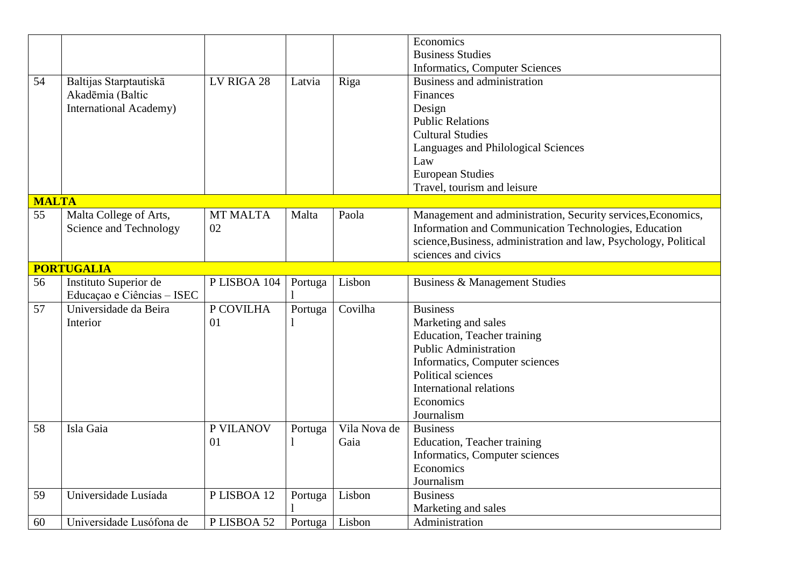|              |                               |                 |         |              | Economics                                                        |
|--------------|-------------------------------|-----------------|---------|--------------|------------------------------------------------------------------|
|              |                               |                 |         |              | <b>Business Studies</b>                                          |
|              |                               |                 |         |              | <b>Informatics, Computer Sciences</b>                            |
| 54           | Baltijas Starptautiskā        | LV RIGA 28      | Latvia  | Riga         | Business and administration                                      |
|              | Akadēmia (Baltic              |                 |         |              | Finances                                                         |
|              | <b>International Academy)</b> |                 |         |              | Design                                                           |
|              |                               |                 |         |              | <b>Public Relations</b>                                          |
|              |                               |                 |         |              | <b>Cultural Studies</b>                                          |
|              |                               |                 |         |              | Languages and Philological Sciences                              |
|              |                               |                 |         |              | Law                                                              |
|              |                               |                 |         |              | <b>European Studies</b>                                          |
|              |                               |                 |         |              | Travel, tourism and leisure                                      |
| <b>MALTA</b> |                               |                 |         |              |                                                                  |
| 55           | Malta College of Arts,        | <b>MT MALTA</b> | Malta   | Paola        | Management and administration, Security services, Economics,     |
|              | Science and Technology        | 02              |         |              | Information and Communication Technologies, Education            |
|              |                               |                 |         |              | science, Business, administration and law, Psychology, Political |
|              |                               |                 |         |              | sciences and civics                                              |
|              | <b>PORTUGALIA</b>             |                 |         |              |                                                                  |
| 56           | Instituto Superior de         | PLISBOA 104     | Portuga | Lisbon       | Business & Management Studies                                    |
|              | Educação e Ciências - ISEC    |                 |         |              |                                                                  |
| 57           | Universidade da Beira         | P COVILHA       | Portuga | Covilha      | <b>Business</b>                                                  |
|              | Interior                      | 01              |         |              | Marketing and sales                                              |
|              |                               |                 |         |              | Education, Teacher training                                      |
|              |                               |                 |         |              | <b>Public Administration</b>                                     |
|              |                               |                 |         |              | Informatics, Computer sciences                                   |
|              |                               |                 |         |              | Political sciences                                               |
|              |                               |                 |         |              | International relations                                          |
|              |                               |                 |         |              | Economics                                                        |
|              |                               |                 |         |              | Journalism                                                       |
| 58           | Isla Gaia                     | P VILANOV       | Portuga | Vila Nova de | <b>Business</b>                                                  |
|              |                               | 01              |         | Gaia         | Education, Teacher training                                      |
|              |                               |                 |         |              | Informatics, Computer sciences                                   |
|              |                               |                 |         |              | Economics                                                        |
|              |                               |                 |         |              | Journalism                                                       |
| 59           | Universidade Lusíada          | PLISBOA 12      | Portuga | Lisbon       | <b>Business</b>                                                  |
|              |                               |                 |         |              | Marketing and sales                                              |
| 60           | Universidade Lusófona de      | PLISBOA 52      | Portuga | Lisbon       | Administration                                                   |
|              |                               |                 |         |              |                                                                  |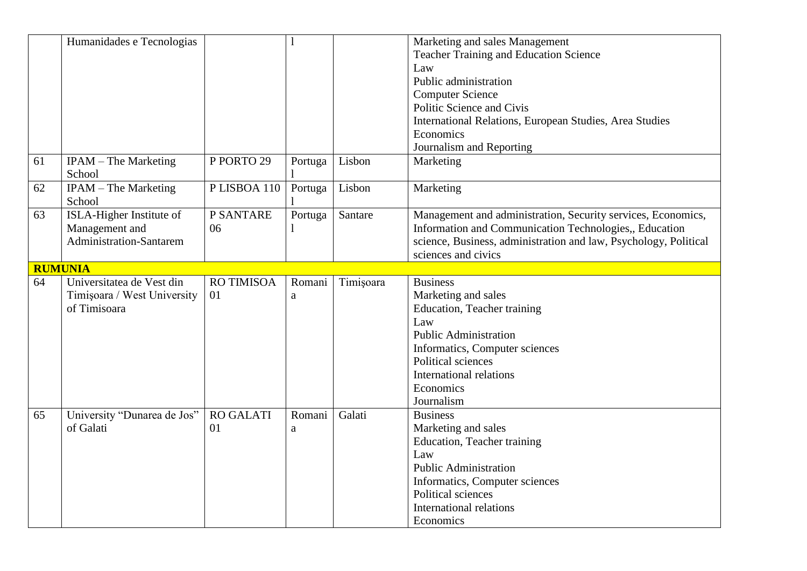|    | Humanidades e Tecnologias                                                    |                        |             |           | Marketing and sales Management<br><b>Teacher Training and Education Science</b><br>Law<br>Public administration<br><b>Computer Science</b><br>Politic Science and Civis<br>International Relations, European Studies, Area Studies<br>Economics<br>Journalism and Reporting |
|----|------------------------------------------------------------------------------|------------------------|-------------|-----------|-----------------------------------------------------------------------------------------------------------------------------------------------------------------------------------------------------------------------------------------------------------------------------|
| 61 | <b>IPAM</b> – The Marketing<br>School                                        | P PORTO 29             | Portuga     | Lisbon    | Marketing                                                                                                                                                                                                                                                                   |
| 62 | IPAM - The Marketing<br>School                                               | PLISBOA 110            | Portuga     | Lisbon    | Marketing                                                                                                                                                                                                                                                                   |
| 63 | ISLA-Higher Institute of<br>Management and<br><b>Administration-Santarem</b> | P SANTARE<br>06        | Portuga     | Santare   | Management and administration, Security services, Economics,<br>Information and Communication Technologies,, Education<br>science, Business, administration and law, Psychology, Political<br>sciences and civics                                                           |
|    | <b>RUMUNIA</b>                                                               |                        |             |           |                                                                                                                                                                                                                                                                             |
| 64 | Universitatea de Vest din<br>Timișoara / West University<br>of Timisoara     | RO TIMISOA<br>01       | Romani<br>a | Timișoara | <b>Business</b><br>Marketing and sales<br>Education, Teacher training<br>Law<br><b>Public Administration</b><br>Informatics, Computer sciences<br>Political sciences<br>International relations<br>Economics<br>Journalism                                                  |
| 65 | University "Dunarea de Jos"<br>of Galati                                     | <b>RO GALATI</b><br>01 | Romani<br>a | Galati    | <b>Business</b><br>Marketing and sales<br><b>Education</b> , Teacher training<br>Law<br><b>Public Administration</b><br>Informatics, Computer sciences<br>Political sciences<br><b>International relations</b><br>Economics                                                 |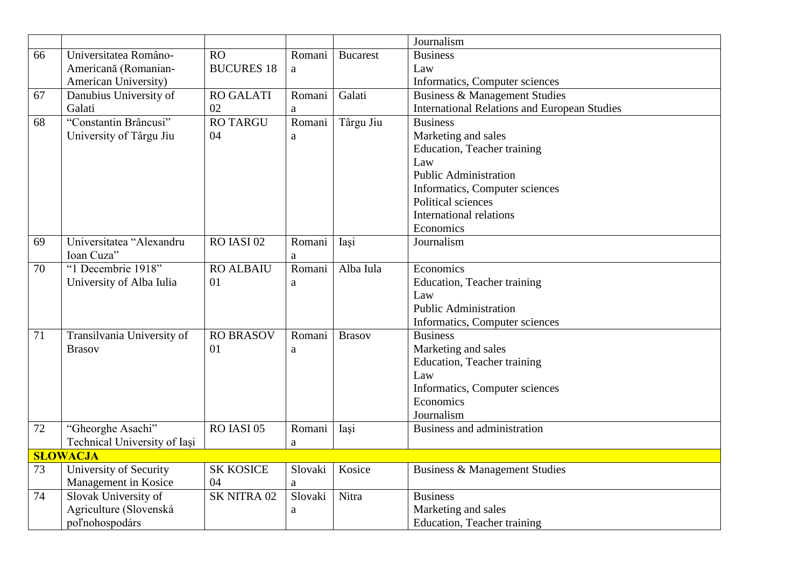|    |                               |                   |              |                 | Journalism                                          |
|----|-------------------------------|-------------------|--------------|-----------------|-----------------------------------------------------|
| 66 | Universitatea Româno-         | RO                | Romani       | <b>Bucarest</b> | <b>Business</b>                                     |
|    | Americană (Romanian-          | <b>BUCURES 18</b> | a            |                 | Law                                                 |
|    | American University)          |                   |              |                 | Informatics, Computer sciences                      |
| 67 | Danubius University of        | <b>RO GALATI</b>  | Romani       | Galati          | <b>Business &amp; Management Studies</b>            |
|    | Galati                        | 02                | a            |                 | <b>International Relations and European Studies</b> |
| 68 | "Constantin Brâncusi"         | <b>RO TARGU</b>   | Romani       | Târgu Jiu       | <b>Business</b>                                     |
|    | University of Târgu Jiu       | 04                | $\mathbf{a}$ |                 | Marketing and sales                                 |
|    |                               |                   |              |                 | Education, Teacher training                         |
|    |                               |                   |              |                 | Law                                                 |
|    |                               |                   |              |                 | <b>Public Administration</b>                        |
|    |                               |                   |              |                 | Informatics, Computer sciences                      |
|    |                               |                   |              |                 | Political sciences                                  |
|    |                               |                   |              |                 | <b>International relations</b>                      |
|    |                               |                   |              |                 | Economics                                           |
| 69 | Universitatea "Alexandru      | $RO$ IASI $02$    | Romani       | Iasi            | Journalism                                          |
|    | Ioan Cuza"                    |                   | a            |                 |                                                     |
| 70 | "1 Decembrie 1918"            | <b>RO ALBAIU</b>  | Romani       | Alba Iula       | Economics                                           |
|    | University of Alba Iulia      | 01                | $\rm{a}$     |                 | Education, Teacher training                         |
|    |                               |                   |              |                 | Law                                                 |
|    |                               |                   |              |                 | <b>Public Administration</b>                        |
|    |                               |                   |              |                 | Informatics, Computer sciences                      |
| 71 | Transilvania University of    | <b>RO BRASOV</b>  | Romani       | <b>Brasov</b>   | <b>Business</b>                                     |
|    | <b>Brasov</b>                 | 01                | $\rm{a}$     |                 | Marketing and sales                                 |
|    |                               |                   |              |                 | Education, Teacher training                         |
|    |                               |                   |              |                 | Law                                                 |
|    |                               |                   |              |                 | Informatics, Computer sciences                      |
|    |                               |                   |              |                 | Economics                                           |
|    |                               |                   |              |                 | Journalism                                          |
| 72 | "Gheorghe Asachi"             | RO IASI 05        | Romani       | Iași            | Business and administration                         |
|    | Technical University of Iași  |                   | $\rm{a}$     |                 |                                                     |
|    | <b>SLOWACJA</b>               |                   |              |                 |                                                     |
| 73 | <b>University of Security</b> | <b>SK KOSICE</b>  | Slovaki      | Kosice          | <b>Business &amp; Management Studies</b>            |
|    | Management in Kosice          | 04                | $\rm{a}$     |                 |                                                     |
| 74 | Slovak University of          | SK NITRA 02       | Slovaki      | Nitra           | <b>Business</b>                                     |
|    | Agriculture (Slovenská        |                   | a            |                 | Marketing and sales                                 |
|    | poľnohospodárs                |                   |              |                 | Education, Teacher training                         |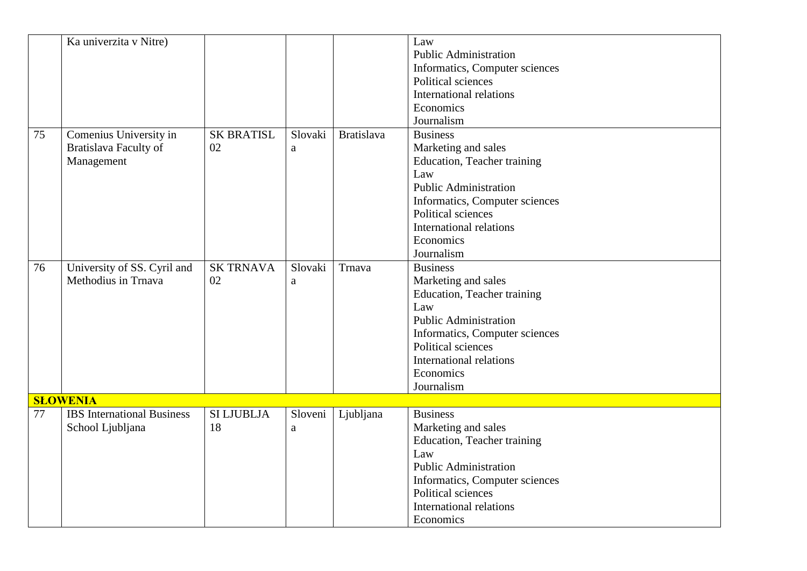|    | Ka univerzita v Nitre)                                        |                         |                         |                   | Law<br><b>Public Administration</b><br>Informatics, Computer sciences<br>Political sciences<br><b>International relations</b><br>Economics<br>Journalism                                                                          |
|----|---------------------------------------------------------------|-------------------------|-------------------------|-------------------|-----------------------------------------------------------------------------------------------------------------------------------------------------------------------------------------------------------------------------------|
| 75 | Comenius University in<br>Bratislava Faculty of<br>Management | <b>SK BRATISL</b><br>02 | Slovaki<br>a            | <b>Bratislava</b> | <b>Business</b><br>Marketing and sales<br>Education, Teacher training<br>Law<br><b>Public Administration</b><br>Informatics, Computer sciences<br>Political sciences<br><b>International relations</b><br>Economics<br>Journalism |
| 76 | University of SS. Cyril and<br>Methodius in Trnava            | <b>SK TRNAVA</b><br>02  | Slovaki<br>$\mathbf{a}$ | Trnava            | <b>Business</b><br>Marketing and sales<br>Education, Teacher training<br>Law<br><b>Public Administration</b><br>Informatics, Computer sciences<br>Political sciences<br>International relations<br>Economics<br>Journalism        |
|    | <b>SLOWENIA</b>                                               |                         |                         |                   |                                                                                                                                                                                                                                   |
| 77 | <b>IBS</b> International Business<br>School Ljubljana         | <b>SI LJUBLJA</b><br>18 | Sloveni<br>a            | Ljubljana         | <b>Business</b><br>Marketing and sales<br>Education, Teacher training<br>Law<br><b>Public Administration</b><br>Informatics, Computer sciences<br>Political sciences<br><b>International relations</b><br>Economics               |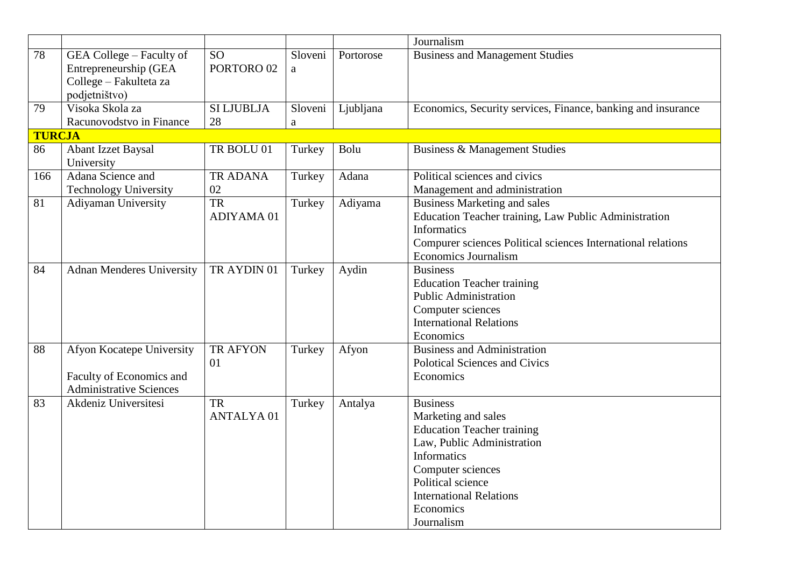|               |                                                                                              |                                    |              |           | Journalism                                                                                                                                                                                                                             |
|---------------|----------------------------------------------------------------------------------------------|------------------------------------|--------------|-----------|----------------------------------------------------------------------------------------------------------------------------------------------------------------------------------------------------------------------------------------|
| 78            | GEA College – Faculty of<br>Entrepreneurship (GEA<br>College - Fakulteta za<br>podjetništvo) | <b>SO</b><br>PORTORO <sub>02</sub> | Sloveni<br>a | Portorose | <b>Business and Management Studies</b>                                                                                                                                                                                                 |
| 79            | Visoka Skola za<br>Racunovodstvo in Finance                                                  | <b>SI LJUBLJA</b><br>28            | Sloveni<br>a | Ljubljana | Economics, Security services, Finance, banking and insurance                                                                                                                                                                           |
| <b>TURCJA</b> |                                                                                              |                                    |              |           |                                                                                                                                                                                                                                        |
| 86            | <b>Abant Izzet Baysal</b><br>University                                                      | TR BOLU 01                         | Turkey       | Bolu      | <b>Business &amp; Management Studies</b>                                                                                                                                                                                               |
| 166           | Adana Science and<br><b>Technology University</b>                                            | TR ADANA<br>02                     | Turkey       | Adana     | Political sciences and civics<br>Management and administration                                                                                                                                                                         |
| 81            | Adiyaman University                                                                          | <b>TR</b><br>ADIYAMA 01            | Turkey       | Adiyama   | <b>Business Marketing and sales</b><br>Education Teacher training, Law Public Administration<br>Informatics<br>Compurer sciences Political sciences International relations<br><b>Economics Journalism</b>                             |
| 84            | <b>Adnan Menderes University</b>                                                             | TR AYDIN 01                        | Turkey       | Aydin     | <b>Business</b><br><b>Education Teacher training</b><br><b>Public Administration</b><br>Computer sciences<br><b>International Relations</b><br>Economics                                                                               |
| 88            | Afyon Kocatepe University<br>Faculty of Economics and<br><b>Administrative Sciences</b>      | <b>TR AFYON</b><br>01              | Turkey       | Afyon     | <b>Business and Administration</b><br><b>Polotical Sciences and Civics</b><br>Economics                                                                                                                                                |
| 83            | Akdeniz Universitesi                                                                         | <b>TR</b><br><b>ANTALYA01</b>      | Turkey       | Antalya   | <b>Business</b><br>Marketing and sales<br><b>Education Teacher training</b><br>Law, Public Administration<br><b>Informatics</b><br>Computer sciences<br>Political science<br><b>International Relations</b><br>Economics<br>Journalism |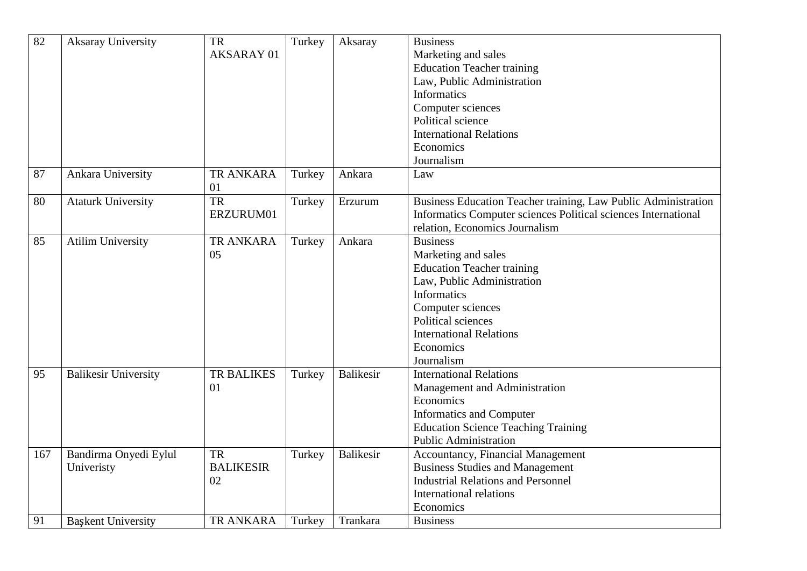| $\overline{82}$ | <b>Aksaray University</b>           | <b>TR</b><br>AKSARAY 01             | Turkey | Aksaray          | <b>Business</b><br>Marketing and sales<br><b>Education Teacher training</b><br>Law, Public Administration<br><b>Informatics</b><br>Computer sciences<br>Political science<br><b>International Relations</b><br>Economics<br>Journalism  |
|-----------------|-------------------------------------|-------------------------------------|--------|------------------|-----------------------------------------------------------------------------------------------------------------------------------------------------------------------------------------------------------------------------------------|
| 87              | Ankara University                   | <b>TR ANKARA</b><br>01              | Turkey | Ankara           | Law                                                                                                                                                                                                                                     |
| 80              | <b>Ataturk University</b>           | <b>TR</b><br>ERZURUM01              | Turkey | Erzurum          | Business Education Teacher training, Law Public Administration<br>Informatics Computer sciences Political sciences International<br>relation, Economics Journalism                                                                      |
| 85              | <b>Atilim University</b>            | <b>TR ANKARA</b><br>05              | Turkey | Ankara           | <b>Business</b><br>Marketing and sales<br><b>Education Teacher training</b><br>Law, Public Administration<br><b>Informatics</b><br>Computer sciences<br>Political sciences<br><b>International Relations</b><br>Economics<br>Journalism |
| 95              | <b>Balikesir University</b>         | <b>TR BALIKES</b><br>01             | Turkey | <b>Balikesir</b> | <b>International Relations</b><br>Management and Administration<br>Economics<br><b>Informatics and Computer</b><br><b>Education Science Teaching Training</b><br><b>Public Administration</b>                                           |
| 167             | Bandirma Onyedi Eylul<br>Univeristy | <b>TR</b><br><b>BALIKESIR</b><br>02 | Turkey | <b>Balikesir</b> | Accountancy, Financial Management<br><b>Business Studies and Management</b><br><b>Industrial Relations and Personnel</b><br><b>International relations</b><br>Economics                                                                 |
| 91              | <b>Baskent University</b>           | <b>TR ANKARA</b>                    | Turkey | Trankara         | <b>Business</b>                                                                                                                                                                                                                         |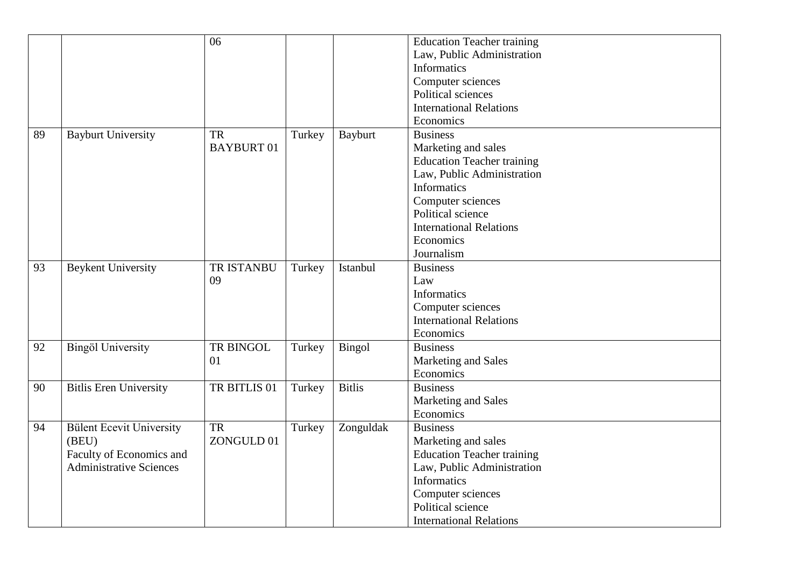|    |                                                                                                        | 06                             |        |                | <b>Education Teacher training</b><br>Law, Public Administration<br><b>Informatics</b><br>Computer sciences<br>Political sciences<br><b>International Relations</b>                                                                                  |
|----|--------------------------------------------------------------------------------------------------------|--------------------------------|--------|----------------|-----------------------------------------------------------------------------------------------------------------------------------------------------------------------------------------------------------------------------------------------------|
| 89 | <b>Bayburt University</b>                                                                              | <b>TR</b><br><b>BAYBURT 01</b> | Turkey | <b>Bayburt</b> | Economics<br><b>Business</b><br>Marketing and sales<br><b>Education Teacher training</b><br>Law, Public Administration<br><b>Informatics</b><br>Computer sciences<br>Political science<br><b>International Relations</b><br>Economics<br>Journalism |
| 93 | <b>Beykent University</b>                                                                              | <b>TR ISTANBU</b><br>09        | Turkey | Istanbul       | <b>Business</b><br>Law<br><b>Informatics</b><br>Computer sciences<br><b>International Relations</b><br>Economics                                                                                                                                    |
| 92 | <b>Bingöl University</b>                                                                               | TR BINGOL<br>01                | Turkey | <b>Bingol</b>  | <b>Business</b><br>Marketing and Sales<br>Economics                                                                                                                                                                                                 |
| 90 | <b>Bitlis Eren University</b>                                                                          | TR BITLIS 01                   | Turkey | <b>Bitlis</b>  | <b>Business</b><br>Marketing and Sales<br>Economics                                                                                                                                                                                                 |
| 94 | <b>Bülent Ecevit University</b><br>(BEU)<br>Faculty of Economics and<br><b>Administrative Sciences</b> | <b>TR</b><br>ZONGULD 01        | Turkey | Zonguldak      | <b>Business</b><br>Marketing and sales<br><b>Education Teacher training</b><br>Law, Public Administration<br><b>Informatics</b><br>Computer sciences<br>Political science<br><b>International Relations</b>                                         |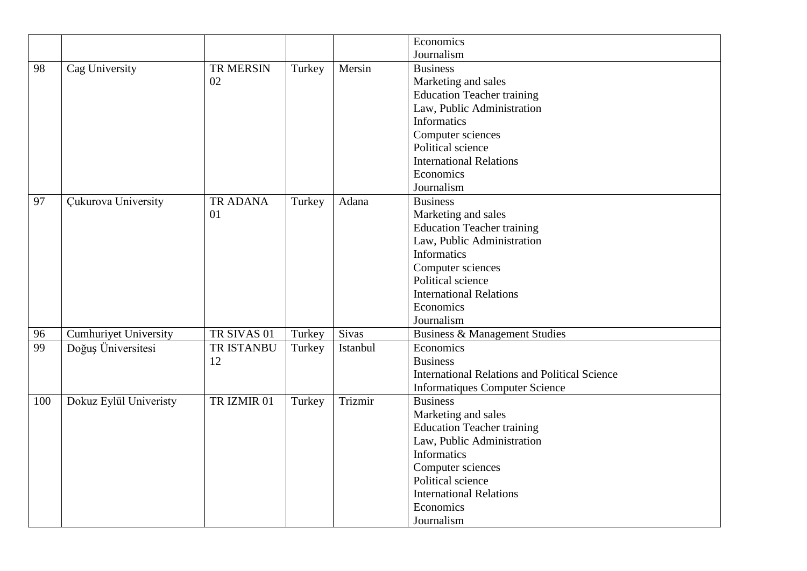|     |                              |             |        |          | Economics                                            |
|-----|------------------------------|-------------|--------|----------|------------------------------------------------------|
|     |                              |             |        |          | Journalism                                           |
| 98  | Cag University               | TR MERSIN   | Turkey | Mersin   | <b>Business</b>                                      |
|     |                              | 02          |        |          | Marketing and sales                                  |
|     |                              |             |        |          | <b>Education Teacher training</b>                    |
|     |                              |             |        |          | Law, Public Administration                           |
|     |                              |             |        |          | <b>Informatics</b>                                   |
|     |                              |             |        |          | Computer sciences                                    |
|     |                              |             |        |          | Political science                                    |
|     |                              |             |        |          | <b>International Relations</b>                       |
|     |                              |             |        |          | Economics                                            |
|     |                              |             |        |          | Journalism                                           |
| 97  | <b>Çukurova University</b>   | TR ADANA    | Turkey | Adana    | <b>Business</b>                                      |
|     |                              | 01          |        |          | Marketing and sales                                  |
|     |                              |             |        |          | <b>Education Teacher training</b>                    |
|     |                              |             |        |          | Law, Public Administration                           |
|     |                              |             |        |          | <b>Informatics</b>                                   |
|     |                              |             |        |          | Computer sciences                                    |
|     |                              |             |        |          | Political science                                    |
|     |                              |             |        |          | <b>International Relations</b>                       |
|     |                              |             |        |          | Economics                                            |
|     |                              |             |        |          | Journalism                                           |
| 96  | <b>Cumhuriyet University</b> | TR SIVAS 01 | Turkey | Sivas    | <b>Business &amp; Management Studies</b>             |
| 99  | Doğuş Üniversitesi           | TR ISTANBU  | Turkey | Istanbul | Economics                                            |
|     |                              | 12          |        |          | <b>Business</b>                                      |
|     |                              |             |        |          | <b>International Relations and Political Science</b> |
|     |                              |             |        |          | <b>Informatiques Computer Science</b>                |
| 100 | Dokuz Eylül Univeristy       | TR IZMIR 01 | Turkey | Trizmir  | <b>Business</b>                                      |
|     |                              |             |        |          | Marketing and sales                                  |
|     |                              |             |        |          | <b>Education Teacher training</b>                    |
|     |                              |             |        |          | Law, Public Administration                           |
|     |                              |             |        |          | Informatics                                          |
|     |                              |             |        |          | Computer sciences                                    |
|     |                              |             |        |          | Political science                                    |
|     |                              |             |        |          | <b>International Relations</b>                       |
|     |                              |             |        |          | Economics                                            |
|     |                              |             |        |          | Journalism                                           |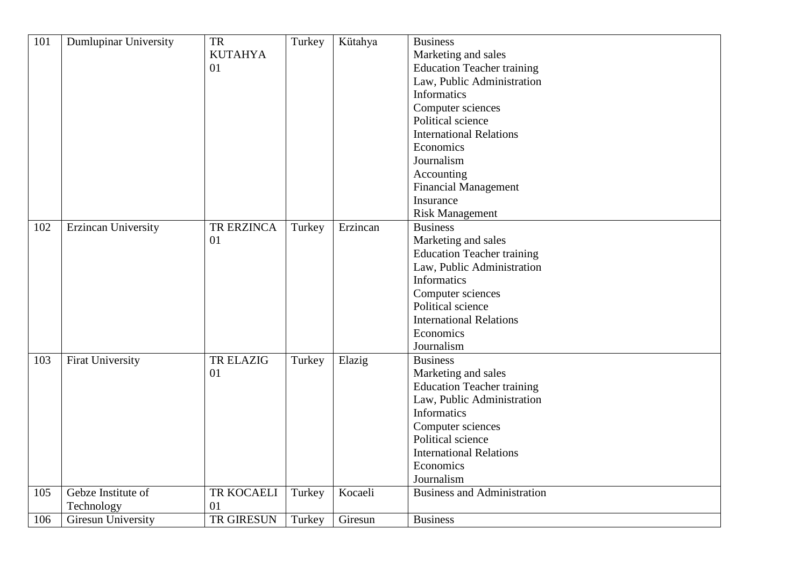| 101 | <b>Dumlupinar University</b> | TR             | Turkey | Kütahya  | <b>Business</b>                    |
|-----|------------------------------|----------------|--------|----------|------------------------------------|
|     |                              | <b>KUTAHYA</b> |        |          | Marketing and sales                |
|     |                              | 01             |        |          | <b>Education Teacher training</b>  |
|     |                              |                |        |          | Law, Public Administration         |
|     |                              |                |        |          | <b>Informatics</b>                 |
|     |                              |                |        |          |                                    |
|     |                              |                |        |          | Computer sciences                  |
|     |                              |                |        |          | Political science                  |
|     |                              |                |        |          | <b>International Relations</b>     |
|     |                              |                |        |          | Economics                          |
|     |                              |                |        |          | Journalism                         |
|     |                              |                |        |          | Accounting                         |
|     |                              |                |        |          | <b>Financial Management</b>        |
|     |                              |                |        |          | Insurance                          |
|     |                              |                |        |          | <b>Risk Management</b>             |
| 102 | <b>Erzincan University</b>   | TR ERZINCA     | Turkey | Erzincan | <b>Business</b>                    |
|     |                              | 01             |        |          | Marketing and sales                |
|     |                              |                |        |          | <b>Education Teacher training</b>  |
|     |                              |                |        |          | Law, Public Administration         |
|     |                              |                |        |          | <b>Informatics</b>                 |
|     |                              |                |        |          | Computer sciences                  |
|     |                              |                |        |          | Political science                  |
|     |                              |                |        |          | <b>International Relations</b>     |
|     |                              |                |        |          | Economics                          |
|     |                              |                |        |          | Journalism                         |
| 103 | <b>Firat University</b>      | TR ELAZIG      | Turkey | Elazig   | <b>Business</b>                    |
|     |                              | 01             |        |          | Marketing and sales                |
|     |                              |                |        |          | <b>Education Teacher training</b>  |
|     |                              |                |        |          | Law, Public Administration         |
|     |                              |                |        |          | <b>Informatics</b>                 |
|     |                              |                |        |          | Computer sciences                  |
|     |                              |                |        |          | Political science                  |
|     |                              |                |        |          | <b>International Relations</b>     |
|     |                              |                |        |          | Economics                          |
|     |                              |                |        |          |                                    |
|     |                              |                |        |          | Journalism                         |
| 105 | Gebze Institute of           | TR KOCAELI     | Turkey | Kocaeli  | <b>Business and Administration</b> |
|     | Technology                   | 01             |        |          |                                    |
| 106 | Giresun University           | TR GIRESUN     | Turkey | Giresun  | <b>Business</b>                    |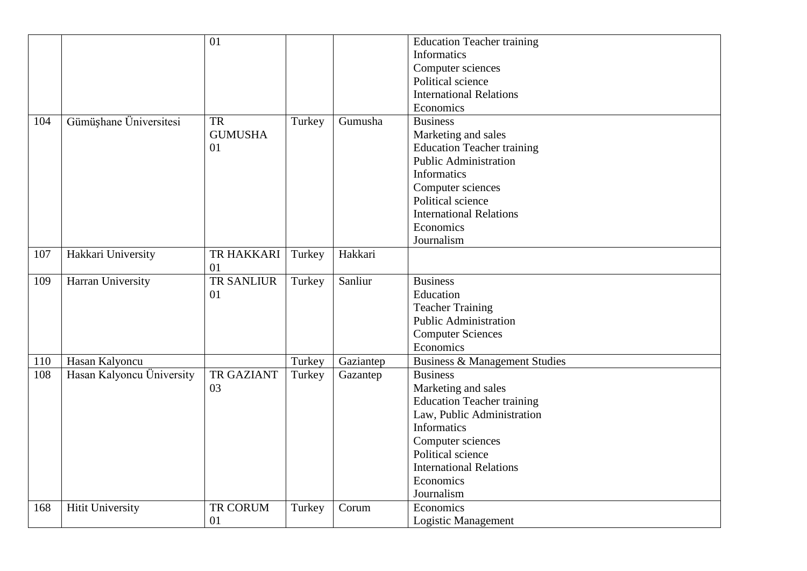|     |                           | 01                |        |           | <b>Education Teacher training</b> |
|-----|---------------------------|-------------------|--------|-----------|-----------------------------------|
|     |                           |                   |        |           | <b>Informatics</b>                |
|     |                           |                   |        |           | Computer sciences                 |
|     |                           |                   |        |           | Political science                 |
|     |                           |                   |        |           | <b>International Relations</b>    |
|     |                           |                   |        |           | Economics                         |
|     |                           |                   |        |           |                                   |
| 104 | Gümüşhane Üniversitesi    | <b>TR</b>         | Turkey | Gumusha   | <b>Business</b>                   |
|     |                           | <b>GUMUSHA</b>    |        |           | Marketing and sales               |
|     |                           | 01                |        |           | <b>Education Teacher training</b> |
|     |                           |                   |        |           | <b>Public Administration</b>      |
|     |                           |                   |        |           | <b>Informatics</b>                |
|     |                           |                   |        |           | Computer sciences                 |
|     |                           |                   |        |           | Political science                 |
|     |                           |                   |        |           | <b>International Relations</b>    |
|     |                           |                   |        |           | Economics                         |
|     |                           |                   |        |           | Journalism                        |
| 107 | Hakkari University        | TR HAKKARI        | Turkey | Hakkari   |                                   |
|     |                           | 01                |        |           |                                   |
| 109 | Harran University         | <b>TR SANLIUR</b> | Turkey | Sanliur   | <b>Business</b>                   |
|     |                           | 01                |        |           | Education                         |
|     |                           |                   |        |           | <b>Teacher Training</b>           |
|     |                           |                   |        |           | <b>Public Administration</b>      |
|     |                           |                   |        |           | <b>Computer Sciences</b>          |
|     |                           |                   |        |           | Economics                         |
| 110 | Hasan Kalyoncu            |                   | Turkey | Gaziantep | Business & Management Studies     |
| 108 | Hasan Kalyoncu Üniversity | <b>TR GAZIANT</b> | Turkey | Gazantep  | <b>Business</b>                   |
|     |                           | 03                |        |           | Marketing and sales               |
|     |                           |                   |        |           | <b>Education Teacher training</b> |
|     |                           |                   |        |           | Law, Public Administration        |
|     |                           |                   |        |           | <b>Informatics</b>                |
|     |                           |                   |        |           | Computer sciences                 |
|     |                           |                   |        |           | Political science                 |
|     |                           |                   |        |           | <b>International Relations</b>    |
|     |                           |                   |        |           | Economics                         |
|     |                           |                   |        |           | Journalism                        |
| 168 | <b>Hitit University</b>   | TR CORUM          | Turkey | Corum     | Economics                         |
|     |                           | 01                |        |           | <b>Logistic Management</b>        |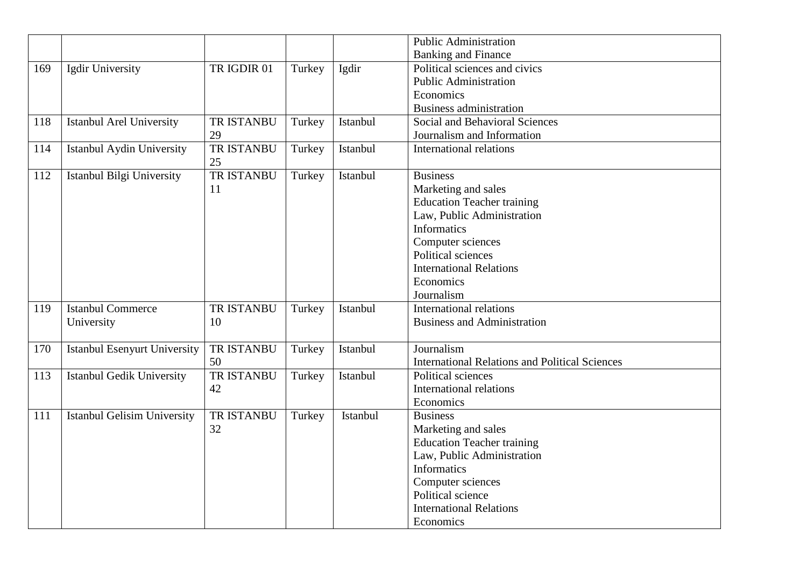|     |                                     |                   |        |          | <b>Public Administration</b>                          |
|-----|-------------------------------------|-------------------|--------|----------|-------------------------------------------------------|
|     |                                     |                   |        |          | <b>Banking and Finance</b>                            |
| 169 | Igdir University                    | TR IGDIR 01       | Turkey | Igdir    | Political sciences and civics                         |
|     |                                     |                   |        |          | <b>Public Administration</b>                          |
|     |                                     |                   |        |          | Economics                                             |
|     |                                     |                   |        |          | <b>Business administration</b>                        |
| 118 | <b>Istanbul Arel University</b>     | <b>TR ISTANBU</b> | Turkey | Istanbul | Social and Behavioral Sciences                        |
|     |                                     | 29                |        |          | Journalism and Information                            |
| 114 | Istanbul Aydin University           | <b>TR ISTANBU</b> | Turkey | Istanbul | <b>International relations</b>                        |
|     |                                     | 25                |        |          |                                                       |
| 112 | Istanbul Bilgi University           | <b>TR ISTANBU</b> | Turkey | Istanbul | <b>Business</b>                                       |
|     |                                     | 11                |        |          | Marketing and sales                                   |
|     |                                     |                   |        |          | <b>Education Teacher training</b>                     |
|     |                                     |                   |        |          | Law, Public Administration                            |
|     |                                     |                   |        |          | <b>Informatics</b>                                    |
|     |                                     |                   |        |          | Computer sciences                                     |
|     |                                     |                   |        |          | Political sciences                                    |
|     |                                     |                   |        |          | <b>International Relations</b>                        |
|     |                                     |                   |        |          | Economics                                             |
|     |                                     |                   |        |          | Journalism                                            |
| 119 | <b>Istanbul Commerce</b>            | TR ISTANBU        | Turkey | Istanbul | <b>International relations</b>                        |
|     | University                          | 10                |        |          | <b>Business and Administration</b>                    |
|     |                                     |                   |        |          |                                                       |
| 170 | <b>Istanbul Esenyurt University</b> | <b>TR ISTANBU</b> | Turkey | Istanbul | Journalism                                            |
|     |                                     | 50                |        |          | <b>International Relations and Political Sciences</b> |
| 113 | <b>Istanbul Gedik University</b>    | TR ISTANBU        | Turkey | Istanbul | Political sciences                                    |
|     |                                     | 42                |        |          | <b>International relations</b>                        |
|     |                                     |                   |        |          | Economics                                             |
| 111 | <b>Istanbul Gelisim University</b>  | TR ISTANBU        | Turkey | Istanbul | <b>Business</b>                                       |
|     |                                     | 32                |        |          | Marketing and sales                                   |
|     |                                     |                   |        |          | <b>Education Teacher training</b>                     |
|     |                                     |                   |        |          | Law, Public Administration                            |
|     |                                     |                   |        |          | <b>Informatics</b>                                    |
|     |                                     |                   |        |          | Computer sciences                                     |
|     |                                     |                   |        |          | Political science                                     |
|     |                                     |                   |        |          | <b>International Relations</b>                        |
|     |                                     |                   |        |          | Economics                                             |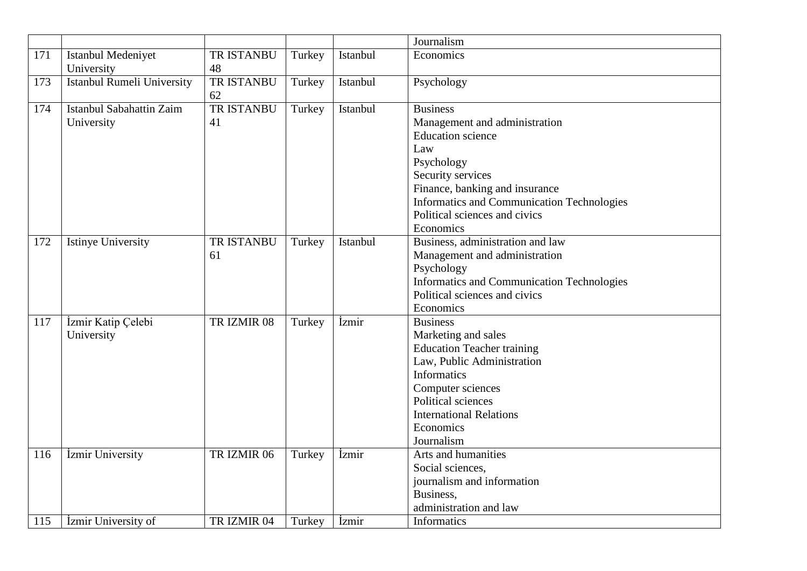|     |                                          |                         |        |                            | Journalism                                                                                                                                                                                                                                           |
|-----|------------------------------------------|-------------------------|--------|----------------------------|------------------------------------------------------------------------------------------------------------------------------------------------------------------------------------------------------------------------------------------------------|
| 171 | Istanbul Medeniyet<br>University         | <b>TR ISTANBU</b><br>48 | Turkey | Istanbul                   | Economics                                                                                                                                                                                                                                            |
| 173 | Istanbul Rumeli University               | TR ISTANBU<br>62        | Turkey | Istanbul                   | Psychology                                                                                                                                                                                                                                           |
| 174 | Istanbul Sabahattin Zaim<br>University   | <b>TR ISTANBU</b><br>41 | Turkey | Istanbul                   | <b>Business</b><br>Management and administration<br><b>Education</b> science<br>Law<br>Psychology<br>Security services<br>Finance, banking and insurance<br>Informatics and Communication Technologies<br>Political sciences and civics<br>Economics |
| 172 | <b>Istinye University</b>                | <b>TR ISTANBU</b><br>61 | Turkey | Istanbul                   | Business, administration and law<br>Management and administration<br>Psychology<br>Informatics and Communication Technologies<br>Political sciences and civics<br>Economics                                                                          |
| 117 | İzmir Katip Çelebi<br>University         | TR IZMIR 08             | Turkey | <i><u><b>Izmir</b></u></i> | <b>Business</b><br>Marketing and sales<br><b>Education Teacher training</b><br>Law, Public Administration<br>Informatics<br>Computer sciences<br>Political sciences<br><b>International Relations</b><br>Economics<br>Journalism                     |
| 116 | İzmir University                         | TR IZMIR 06             | Turkey | İzmir                      | Arts and humanities<br>Social sciences,<br>journalism and information<br>Business,<br>administration and law                                                                                                                                         |
| 115 | <i><u><b>Izmir University of</b></u></i> | TR IZMIR 04             | Turkey | <i>izmir</i>               | Informatics                                                                                                                                                                                                                                          |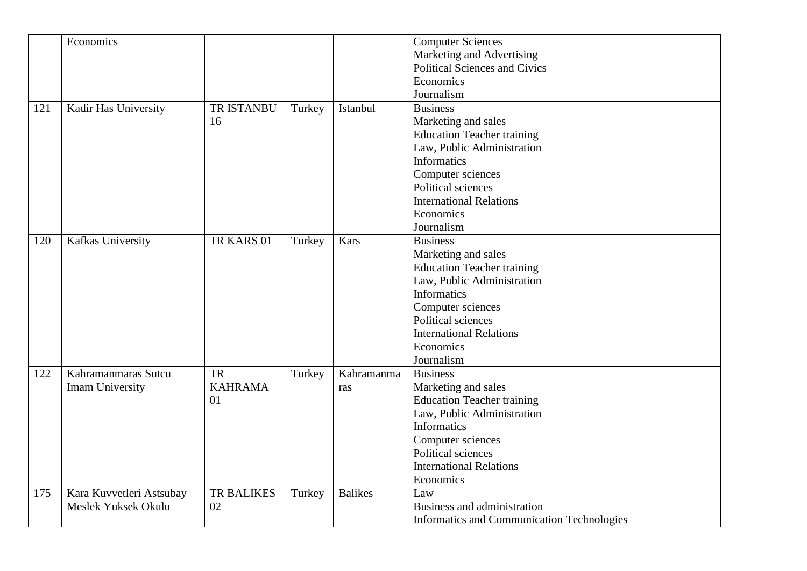|     | Economics                |                   |        |                | <b>Computer Sciences</b>                          |
|-----|--------------------------|-------------------|--------|----------------|---------------------------------------------------|
|     |                          |                   |        |                | Marketing and Advertising                         |
|     |                          |                   |        |                | <b>Political Sciences and Civics</b>              |
|     |                          |                   |        |                | Economics                                         |
|     |                          |                   |        |                | Journalism                                        |
| 121 | Kadir Has University     | <b>TR ISTANBU</b> | Turkey | Istanbul       | <b>Business</b>                                   |
|     |                          | 16                |        |                | Marketing and sales                               |
|     |                          |                   |        |                | <b>Education Teacher training</b>                 |
|     |                          |                   |        |                | Law, Public Administration                        |
|     |                          |                   |        |                | <b>Informatics</b>                                |
|     |                          |                   |        |                |                                                   |
|     |                          |                   |        |                | Computer sciences                                 |
|     |                          |                   |        |                | Political sciences                                |
|     |                          |                   |        |                | <b>International Relations</b>                    |
|     |                          |                   |        |                | Economics                                         |
|     |                          |                   |        |                | Journalism                                        |
| 120 | Kafkas University        | TR KARS 01        | Turkey | Kars           | <b>Business</b>                                   |
|     |                          |                   |        |                | Marketing and sales                               |
|     |                          |                   |        |                | <b>Education Teacher training</b>                 |
|     |                          |                   |        |                | Law, Public Administration                        |
|     |                          |                   |        |                | <b>Informatics</b>                                |
|     |                          |                   |        |                | Computer sciences                                 |
|     |                          |                   |        |                | Political sciences                                |
|     |                          |                   |        |                | <b>International Relations</b>                    |
|     |                          |                   |        |                | Economics                                         |
|     |                          |                   |        |                | Journalism                                        |
| 122 | Kahramanmaras Sutcu      | <b>TR</b>         | Turkey | Kahramanma     | <b>Business</b>                                   |
|     | Imam University          | <b>KAHRAMA</b>    |        | ras            | Marketing and sales                               |
|     |                          | 01                |        |                | <b>Education Teacher training</b>                 |
|     |                          |                   |        |                | Law, Public Administration                        |
|     |                          |                   |        |                | <b>Informatics</b>                                |
|     |                          |                   |        |                | Computer sciences                                 |
|     |                          |                   |        |                | Political sciences                                |
|     |                          |                   |        |                | <b>International Relations</b>                    |
|     |                          |                   |        |                | Economics                                         |
| 175 | Kara Kuvvetleri Astsubay | <b>TR BALIKES</b> | Turkey | <b>Balikes</b> | Law                                               |
|     | Meslek Yuksek Okulu      | 02                |        |                | Business and administration                       |
|     |                          |                   |        |                | <b>Informatics and Communication Technologies</b> |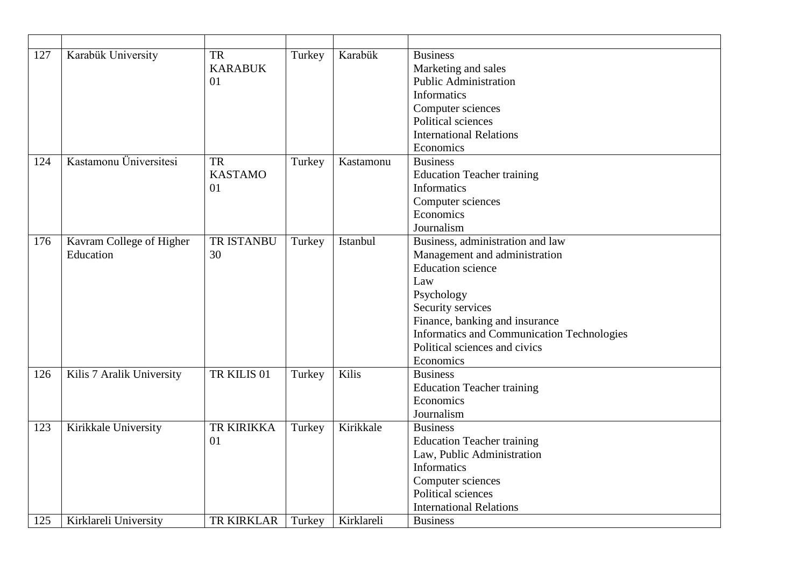| 127<br>124 | Karabük University<br>Kastamonu Üniversitesi  | <b>TR</b><br><b>KARABUK</b><br>01<br><b>TR</b><br><b>KASTAMO</b><br>01 | Turkey<br>Turkey | Karabük<br>Kastamonu    | <b>Business</b><br>Marketing and sales<br><b>Public Administration</b><br><b>Informatics</b><br>Computer sciences<br>Political sciences<br><b>International Relations</b><br>Economics<br><b>Business</b><br><b>Education Teacher training</b><br><b>Informatics</b>  |
|------------|-----------------------------------------------|------------------------------------------------------------------------|------------------|-------------------------|-----------------------------------------------------------------------------------------------------------------------------------------------------------------------------------------------------------------------------------------------------------------------|
|            |                                               |                                                                        |                  |                         | Computer sciences<br>Economics<br>Journalism                                                                                                                                                                                                                          |
| 176        | Kavram College of Higher<br>Education         | <b>TR ISTANBU</b><br>30                                                | Turkey           | Istanbul                | Business, administration and law<br>Management and administration<br><b>Education</b> science<br>Law<br>Psychology<br>Security services<br>Finance, banking and insurance<br>Informatics and Communication Technologies<br>Political sciences and civics<br>Economics |
| 126        | Kilis 7 Aralik University                     | TR KILIS 01                                                            | Turkey           | Kilis                   | <b>Business</b><br><b>Education Teacher training</b><br>Economics<br>Journalism                                                                                                                                                                                       |
| 123        | Kirikkale University<br>Kirklareli University | TR KIRIKKA<br>01<br><b>TR KIRKLAR</b>                                  | Turkey<br>Turkey | Kirikkale<br>Kirklareli | <b>Business</b><br><b>Education Teacher training</b><br>Law, Public Administration<br><b>Informatics</b><br>Computer sciences<br>Political sciences<br><b>International Relations</b>                                                                                 |
| 125        |                                               |                                                                        |                  |                         | <b>Business</b>                                                                                                                                                                                                                                                       |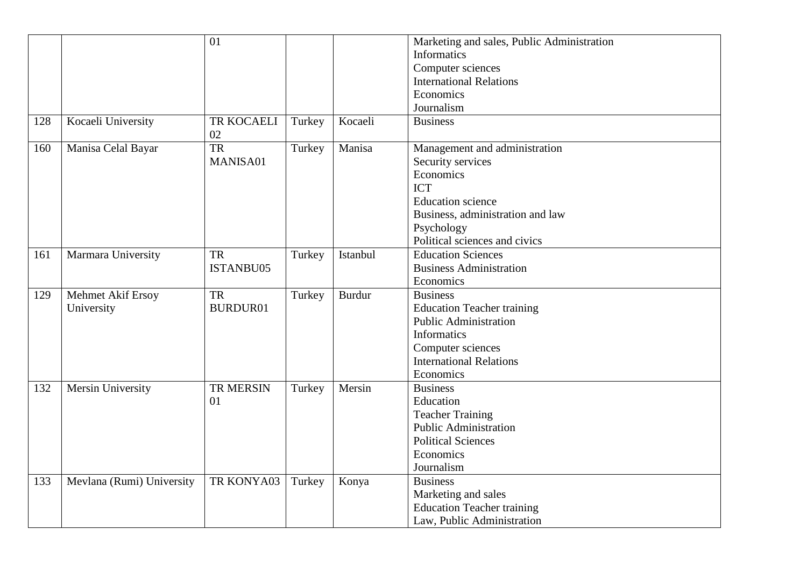|     |                           | 01                     |        |               | Marketing and sales, Public Administration<br><b>Informatics</b><br>Computer sciences<br><b>International Relations</b> |
|-----|---------------------------|------------------------|--------|---------------|-------------------------------------------------------------------------------------------------------------------------|
|     |                           |                        |        |               | Economics                                                                                                               |
|     |                           |                        |        |               | Journalism                                                                                                              |
| 128 | Kocaeli University        | TR KOCAELI<br>02       | Turkey | Kocaeli       | <b>Business</b>                                                                                                         |
| 160 | Manisa Celal Bayar        | $\overline{\text{TR}}$ | Turkey | Manisa        | Management and administration                                                                                           |
|     |                           | MANISA01               |        |               | Security services                                                                                                       |
|     |                           |                        |        |               | Economics                                                                                                               |
|     |                           |                        |        |               | <b>ICT</b>                                                                                                              |
|     |                           |                        |        |               | <b>Education</b> science                                                                                                |
|     |                           |                        |        |               | Business, administration and law                                                                                        |
|     |                           |                        |        |               | Psychology                                                                                                              |
|     |                           |                        |        |               | Political sciences and civics                                                                                           |
| 161 | Marmara University        | <b>TR</b>              | Turkey | Istanbul      | <b>Education Sciences</b>                                                                                               |
|     |                           | ISTANBU05              |        |               | <b>Business Administration</b>                                                                                          |
|     |                           |                        |        |               | Economics                                                                                                               |
| 129 | Mehmet Akif Ersoy         | <b>TR</b>              | Turkey | <b>Burdur</b> | <b>Business</b>                                                                                                         |
|     | University                | BURDUR01               |        |               | <b>Education Teacher training</b>                                                                                       |
|     |                           |                        |        |               | <b>Public Administration</b>                                                                                            |
|     |                           |                        |        |               | <b>Informatics</b>                                                                                                      |
|     |                           |                        |        |               | Computer sciences                                                                                                       |
|     |                           |                        |        |               | <b>International Relations</b>                                                                                          |
|     |                           |                        |        |               | Economics                                                                                                               |
| 132 | Mersin University         | TR MERSIN              | Turkey | Mersin        | <b>Business</b>                                                                                                         |
|     |                           | 01                     |        |               | Education                                                                                                               |
|     |                           |                        |        |               | <b>Teacher Training</b>                                                                                                 |
|     |                           |                        |        |               | <b>Public Administration</b>                                                                                            |
|     |                           |                        |        |               | <b>Political Sciences</b>                                                                                               |
|     |                           |                        |        |               | Economics                                                                                                               |
|     |                           |                        |        |               | Journalism                                                                                                              |
| 133 | Mevlana (Rumi) University | TR KONYA03             | Turkey | Konya         | <b>Business</b>                                                                                                         |
|     |                           |                        |        |               | Marketing and sales                                                                                                     |
|     |                           |                        |        |               | <b>Education Teacher training</b>                                                                                       |
|     |                           |                        |        |               | Law, Public Administration                                                                                              |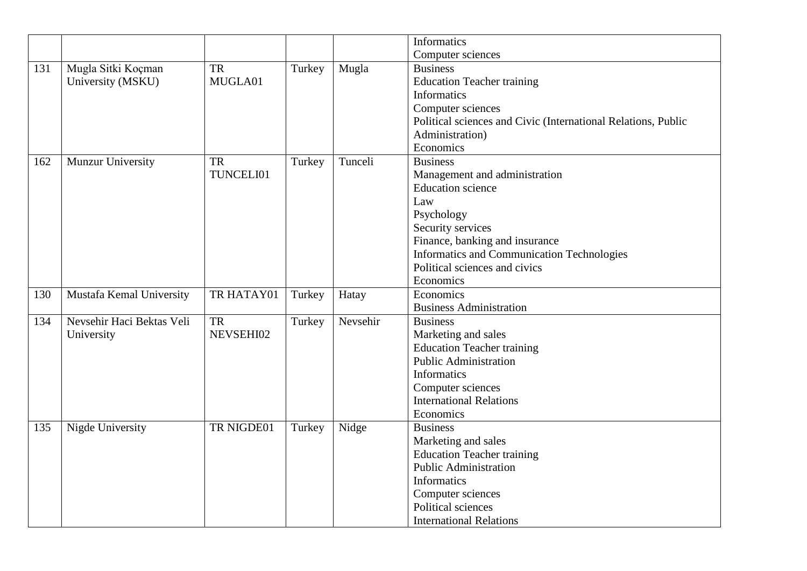|     |                           |            |        |          | Informatics                                                   |
|-----|---------------------------|------------|--------|----------|---------------------------------------------------------------|
|     |                           |            |        |          | Computer sciences                                             |
| 131 | Mugla Sitki Koçman        | TR         | Turkey | Mugla    | <b>Business</b>                                               |
|     | University (MSKU)         | MUGLA01    |        |          | <b>Education Teacher training</b>                             |
|     |                           |            |        |          | <b>Informatics</b>                                            |
|     |                           |            |        |          | Computer sciences                                             |
|     |                           |            |        |          | Political sciences and Civic (International Relations, Public |
|     |                           |            |        |          | Administration)                                               |
|     |                           |            |        |          | Economics                                                     |
| 162 | Munzur University         | TR         | Turkey | Tunceli  | <b>Business</b>                                               |
|     |                           | TUNCELI01  |        |          | Management and administration                                 |
|     |                           |            |        |          | <b>Education</b> science                                      |
|     |                           |            |        |          | Law                                                           |
|     |                           |            |        |          | Psychology                                                    |
|     |                           |            |        |          | Security services                                             |
|     |                           |            |        |          | Finance, banking and insurance                                |
|     |                           |            |        |          | Informatics and Communication Technologies                    |
|     |                           |            |        |          | Political sciences and civics                                 |
|     |                           |            |        |          | Economics                                                     |
| 130 | Mustafa Kemal University  | TR HATAY01 | Turkey | Hatay    | Economics                                                     |
|     |                           |            |        |          | <b>Business Administration</b>                                |
| 134 | Nevsehir Haci Bektas Veli | <b>TR</b>  | Turkey | Nevsehir | <b>Business</b>                                               |
|     | University                | NEVSEHI02  |        |          | Marketing and sales                                           |
|     |                           |            |        |          | <b>Education Teacher training</b>                             |
|     |                           |            |        |          | <b>Public Administration</b>                                  |
|     |                           |            |        |          | Informatics                                                   |
|     |                           |            |        |          | Computer sciences                                             |
|     |                           |            |        |          | <b>International Relations</b>                                |
|     |                           |            |        |          | Economics                                                     |
| 135 | Nigde University          | TR NIGDE01 | Turkey | Nidge    | <b>Business</b>                                               |
|     |                           |            |        |          | Marketing and sales                                           |
|     |                           |            |        |          | <b>Education Teacher training</b>                             |
|     |                           |            |        |          | <b>Public Administration</b>                                  |
|     |                           |            |        |          | Informatics                                                   |
|     |                           |            |        |          | Computer sciences                                             |
|     |                           |            |        |          | Political sciences                                            |
|     |                           |            |        |          | <b>International Relations</b>                                |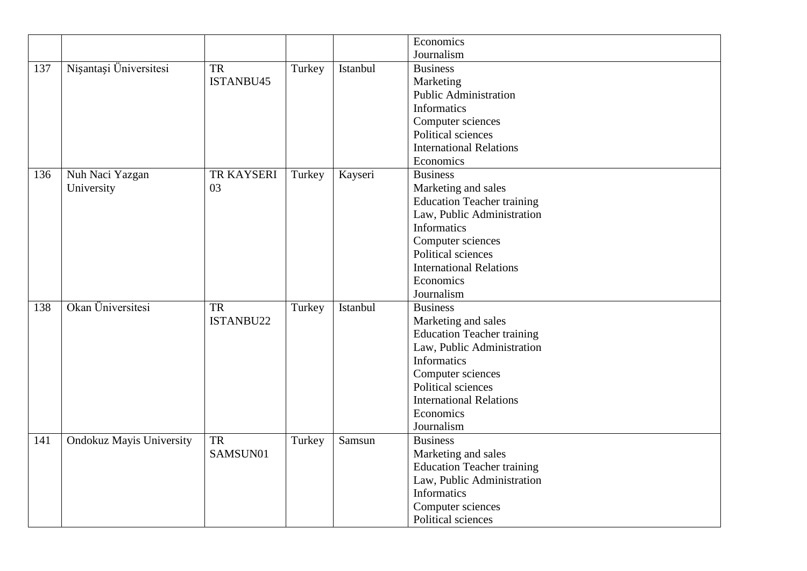|     |                                 |            |        |          | Economics                         |
|-----|---------------------------------|------------|--------|----------|-----------------------------------|
|     |                                 |            |        |          | Journalism                        |
| 137 | Nișantași Üniversitesi          | <b>TR</b>  | Turkey | Istanbul | <b>Business</b>                   |
|     |                                 | ISTANBU45  |        |          | Marketing                         |
|     |                                 |            |        |          | <b>Public Administration</b>      |
|     |                                 |            |        |          | <b>Informatics</b>                |
|     |                                 |            |        |          | Computer sciences                 |
|     |                                 |            |        |          | Political sciences                |
|     |                                 |            |        |          | <b>International Relations</b>    |
|     |                                 |            |        |          | Economics                         |
| 136 | Nuh Naci Yazgan                 | TR KAYSERI | Turkey | Kayseri  | <b>Business</b>                   |
|     | University                      | 03         |        |          | Marketing and sales               |
|     |                                 |            |        |          | <b>Education Teacher training</b> |
|     |                                 |            |        |          | Law, Public Administration        |
|     |                                 |            |        |          | <b>Informatics</b>                |
|     |                                 |            |        |          | Computer sciences                 |
|     |                                 |            |        |          | Political sciences                |
|     |                                 |            |        |          | <b>International Relations</b>    |
|     |                                 |            |        |          | Economics                         |
|     |                                 |            |        |          | Journalism                        |
| 138 | Okan Üniversitesi               | <b>TR</b>  | Turkey | Istanbul | <b>Business</b>                   |
|     |                                 | ISTANBU22  |        |          | Marketing and sales               |
|     |                                 |            |        |          | <b>Education Teacher training</b> |
|     |                                 |            |        |          | Law, Public Administration        |
|     |                                 |            |        |          | Informatics                       |
|     |                                 |            |        |          | Computer sciences                 |
|     |                                 |            |        |          | Political sciences                |
|     |                                 |            |        |          | <b>International Relations</b>    |
|     |                                 |            |        |          | Economics                         |
|     |                                 |            |        |          | Journalism                        |
| 141 | <b>Ondokuz Mayis University</b> | <b>TR</b>  | Turkey | Samsun   | <b>Business</b>                   |
|     |                                 | SAMSUN01   |        |          | Marketing and sales               |
|     |                                 |            |        |          | <b>Education Teacher training</b> |
|     |                                 |            |        |          | Law, Public Administration        |
|     |                                 |            |        |          | Informatics                       |
|     |                                 |            |        |          | Computer sciences                 |
|     |                                 |            |        |          | Political sciences                |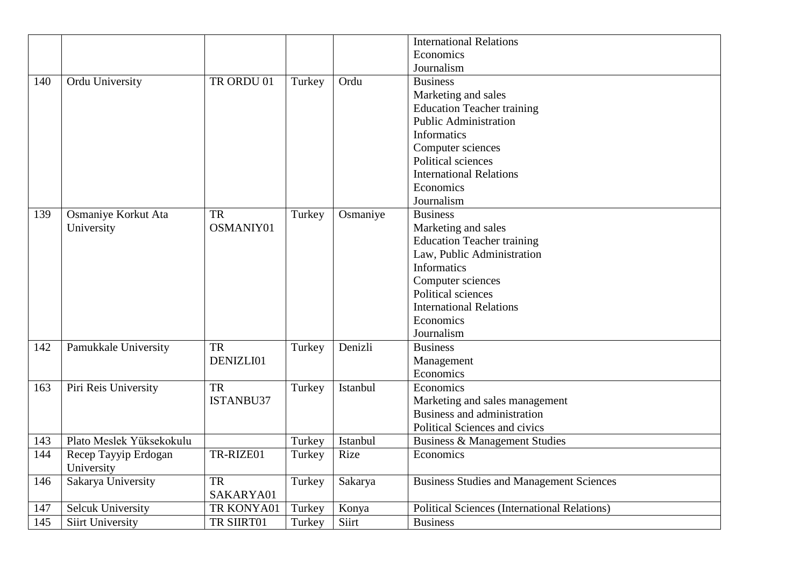|     |                          |            |        |          | <b>International Relations</b>                      |
|-----|--------------------------|------------|--------|----------|-----------------------------------------------------|
|     |                          |            |        |          | Economics                                           |
|     |                          |            |        |          | Journalism                                          |
| 140 | Ordu University          | TR ORDU 01 | Turkey | Ordu     | <b>Business</b>                                     |
|     |                          |            |        |          | Marketing and sales                                 |
|     |                          |            |        |          | <b>Education Teacher training</b>                   |
|     |                          |            |        |          | <b>Public Administration</b>                        |
|     |                          |            |        |          | <b>Informatics</b>                                  |
|     |                          |            |        |          | Computer sciences                                   |
|     |                          |            |        |          | Political sciences                                  |
|     |                          |            |        |          | <b>International Relations</b>                      |
|     |                          |            |        |          | Economics                                           |
|     |                          |            |        |          | Journalism                                          |
| 139 | Osmaniye Korkut Ata      | <b>TR</b>  | Turkey | Osmaniye | <b>Business</b>                                     |
|     | University               | OSMANIY01  |        |          | Marketing and sales                                 |
|     |                          |            |        |          | <b>Education Teacher training</b>                   |
|     |                          |            |        |          | Law, Public Administration                          |
|     |                          |            |        |          | Informatics                                         |
|     |                          |            |        |          | Computer sciences                                   |
|     |                          |            |        |          | Political sciences                                  |
|     |                          |            |        |          | <b>International Relations</b>                      |
|     |                          |            |        |          | Economics                                           |
|     |                          |            |        |          | Journalism                                          |
| 142 | Pamukkale University     | <b>TR</b>  | Turkey | Denizli  | <b>Business</b>                                     |
|     |                          | DENIZLI01  |        |          | Management                                          |
|     |                          |            |        |          | Economics                                           |
| 163 | Piri Reis University     | <b>TR</b>  | Turkey | Istanbul | Economics                                           |
|     |                          | ISTANBU37  |        |          | Marketing and sales management                      |
|     |                          |            |        |          | Business and administration                         |
|     |                          |            |        |          | Political Sciences and civics                       |
| 143 | Plato Meslek Yüksekokulu |            | Turkey | Istanbul | Business & Management Studies                       |
| 144 | Recep Tayyip Erdogan     | TR-RIZE01  | Turkey | Rize     | Economics                                           |
|     | University               |            |        |          |                                                     |
| 146 | Sakarya University       | <b>TR</b>  | Turkey | Sakarya  | <b>Business Studies and Management Sciences</b>     |
|     |                          | SAKARYA01  |        |          |                                                     |
| 147 | <b>Selcuk University</b> | TR KONYA01 | Turkey | Konya    | <b>Political Sciences (International Relations)</b> |
| 145 | Siirt University         | TR SIIRT01 | Turkey | Siirt    | <b>Business</b>                                     |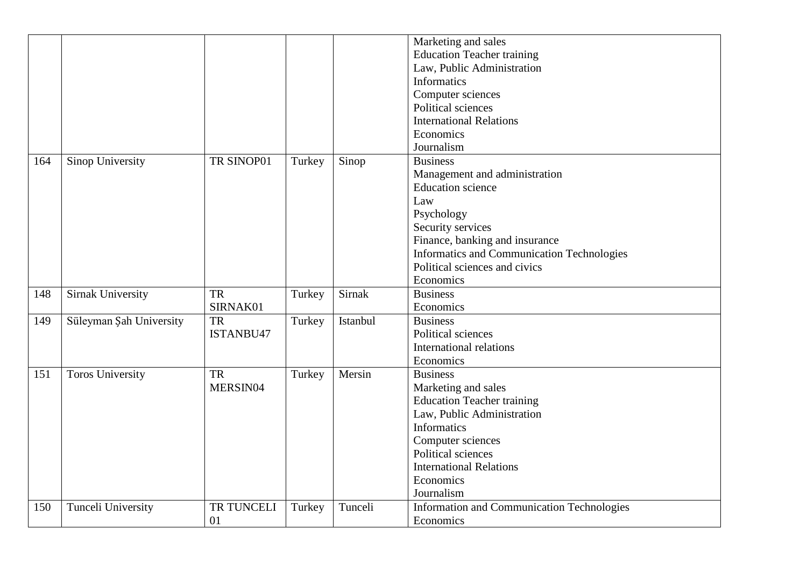|     |                          |            |        |          | Marketing and sales                               |
|-----|--------------------------|------------|--------|----------|---------------------------------------------------|
|     |                          |            |        |          | <b>Education Teacher training</b>                 |
|     |                          |            |        |          | Law, Public Administration                        |
|     |                          |            |        |          | <b>Informatics</b>                                |
|     |                          |            |        |          | Computer sciences                                 |
|     |                          |            |        |          | Political sciences                                |
|     |                          |            |        |          | <b>International Relations</b>                    |
|     |                          |            |        |          | Economics                                         |
|     |                          |            |        |          | Journalism                                        |
| 164 | Sinop University         | TR SINOP01 | Turkey | Sinop    | <b>Business</b>                                   |
|     |                          |            |        |          | Management and administration                     |
|     |                          |            |        |          | <b>Education</b> science                          |
|     |                          |            |        |          | Law                                               |
|     |                          |            |        |          | Psychology                                        |
|     |                          |            |        |          | Security services                                 |
|     |                          |            |        |          | Finance, banking and insurance                    |
|     |                          |            |        |          | Informatics and Communication Technologies        |
|     |                          |            |        |          | Political sciences and civics                     |
|     |                          |            |        |          | Economics                                         |
| 148 | <b>Sirnak University</b> | <b>TR</b>  | Turkey | Sirnak   | <b>Business</b>                                   |
|     |                          | SIRNAK01   |        |          | Economics                                         |
| 149 | Süleyman Şah University  | <b>TR</b>  | Turkey | Istanbul | <b>Business</b>                                   |
|     |                          | ISTANBU47  |        |          | Political sciences                                |
|     |                          |            |        |          | <b>International relations</b>                    |
|     |                          |            |        |          | Economics                                         |
|     |                          |            |        |          | <b>Business</b>                                   |
| 151 | <b>Toros University</b>  | <b>TR</b>  | Turkey | Mersin   |                                                   |
|     |                          | MERSIN04   |        |          | Marketing and sales                               |
|     |                          |            |        |          | <b>Education Teacher training</b>                 |
|     |                          |            |        |          | Law, Public Administration                        |
|     |                          |            |        |          | <b>Informatics</b>                                |
|     |                          |            |        |          | Computer sciences                                 |
|     |                          |            |        |          | Political sciences                                |
|     |                          |            |        |          | <b>International Relations</b>                    |
|     |                          |            |        |          | Economics                                         |
|     |                          |            |        |          | Journalism                                        |
| 150 | Tunceli University       | TR TUNCELI | Turkey | Tunceli  | <b>Information and Communication Technologies</b> |
|     |                          | 01         |        |          | Economics                                         |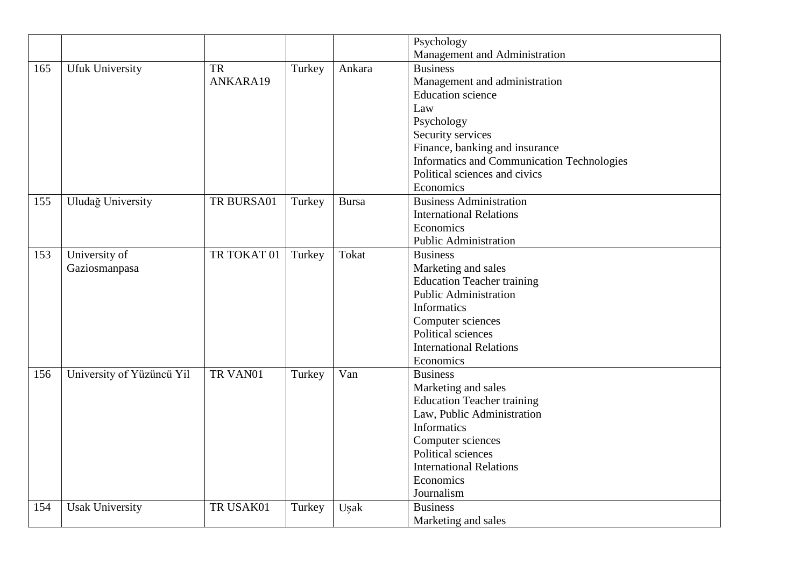|     |                           |             |        |              | Psychology                                 |
|-----|---------------------------|-------------|--------|--------------|--------------------------------------------|
|     |                           |             |        |              | Management and Administration              |
| 165 | <b>Ufuk University</b>    | TR          | Turkey | Ankara       | <b>Business</b>                            |
|     |                           | ANKARA19    |        |              | Management and administration              |
|     |                           |             |        |              | <b>Education</b> science                   |
|     |                           |             |        |              | Law                                        |
|     |                           |             |        |              | Psychology                                 |
|     |                           |             |        |              | Security services                          |
|     |                           |             |        |              | Finance, banking and insurance             |
|     |                           |             |        |              | Informatics and Communication Technologies |
|     |                           |             |        |              | Political sciences and civics              |
|     |                           |             |        |              | Economics                                  |
| 155 | Uludağ University         | TR BURSA01  | Turkey | <b>Bursa</b> | <b>Business Administration</b>             |
|     |                           |             |        |              | <b>International Relations</b>             |
|     |                           |             |        |              | Economics                                  |
|     |                           |             |        |              | <b>Public Administration</b>               |
| 153 | University of             | TR TOKAT 01 | Turkey | Tokat        | <b>Business</b>                            |
|     | Gaziosmanpasa             |             |        |              | Marketing and sales                        |
|     |                           |             |        |              | <b>Education Teacher training</b>          |
|     |                           |             |        |              | <b>Public Administration</b>               |
|     |                           |             |        |              | Informatics                                |
|     |                           |             |        |              | Computer sciences                          |
|     |                           |             |        |              | Political sciences                         |
|     |                           |             |        |              | <b>International Relations</b>             |
|     |                           |             |        |              | Economics                                  |
| 156 | University of Yüzüncü Yil | TR VAN01    | Turkey | Van          | <b>Business</b>                            |
|     |                           |             |        |              | Marketing and sales                        |
|     |                           |             |        |              | <b>Education Teacher training</b>          |
|     |                           |             |        |              | Law, Public Administration                 |
|     |                           |             |        |              | Informatics                                |
|     |                           |             |        |              | Computer sciences                          |
|     |                           |             |        |              | Political sciences                         |
|     |                           |             |        |              | <b>International Relations</b>             |
|     |                           |             |        |              | Economics                                  |
|     |                           |             |        |              | Journalism                                 |
| 154 | Usak University           | TR USAK01   | Turkey | Uşak         | <b>Business</b>                            |
|     |                           |             |        |              | Marketing and sales                        |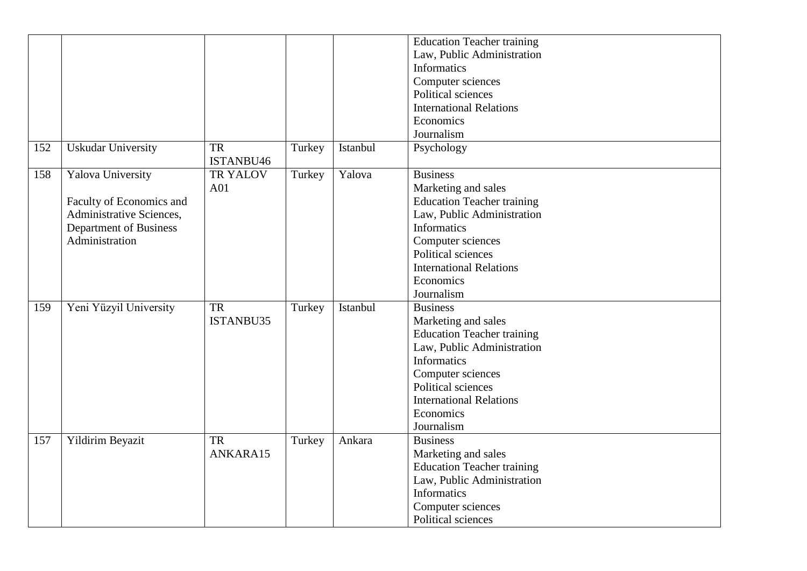|     |                               |           |        |          | <b>Education Teacher training</b> |
|-----|-------------------------------|-----------|--------|----------|-----------------------------------|
|     |                               |           |        |          | Law, Public Administration        |
|     |                               |           |        |          | Informatics                       |
|     |                               |           |        |          | Computer sciences                 |
|     |                               |           |        |          | Political sciences                |
|     |                               |           |        |          |                                   |
|     |                               |           |        |          | <b>International Relations</b>    |
|     |                               |           |        |          | Economics                         |
|     |                               |           |        |          | Journalism                        |
| 152 | <b>Uskudar University</b>     | <b>TR</b> | Turkey | Istanbul | Psychology                        |
|     |                               | ISTANBU46 |        |          |                                   |
| 158 | <b>Yalova University</b>      | TR YALOV  | Turkey | Yalova   | <b>Business</b>                   |
|     |                               | A01       |        |          | Marketing and sales               |
|     | Faculty of Economics and      |           |        |          | <b>Education Teacher training</b> |
|     | Administrative Sciences,      |           |        |          | Law, Public Administration        |
|     | <b>Department of Business</b> |           |        |          | <b>Informatics</b>                |
|     | Administration                |           |        |          | Computer sciences                 |
|     |                               |           |        |          | Political sciences                |
|     |                               |           |        |          | <b>International Relations</b>    |
|     |                               |           |        |          | Economics                         |
|     |                               |           |        |          | Journalism                        |
| 159 | Yeni Yüzyil University        | <b>TR</b> | Turkey | Istanbul | <b>Business</b>                   |
|     |                               | ISTANBU35 |        |          | Marketing and sales               |
|     |                               |           |        |          | <b>Education Teacher training</b> |
|     |                               |           |        |          | Law, Public Administration        |
|     |                               |           |        |          | <b>Informatics</b>                |
|     |                               |           |        |          | Computer sciences                 |
|     |                               |           |        |          |                                   |
|     |                               |           |        |          | Political sciences                |
|     |                               |           |        |          | <b>International Relations</b>    |
|     |                               |           |        |          | Economics                         |
|     |                               |           |        |          | Journalism                        |
| 157 | Yildirim Beyazit              | <b>TR</b> | Turkey | Ankara   | <b>Business</b>                   |
|     |                               | ANKARA15  |        |          | Marketing and sales               |
|     |                               |           |        |          | <b>Education Teacher training</b> |
|     |                               |           |        |          | Law, Public Administration        |
|     |                               |           |        |          | <b>Informatics</b>                |
|     |                               |           |        |          | Computer sciences                 |
|     |                               |           |        |          | Political sciences                |